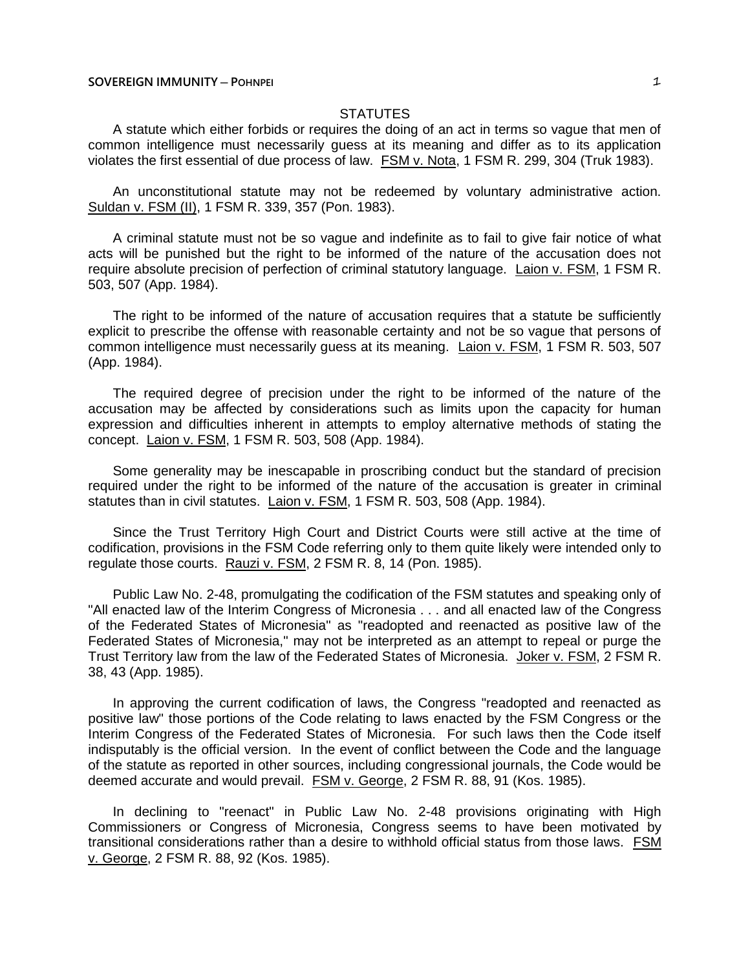# **STATUTES**

A statute which either forbids or requires the doing of an act in terms so vague that men of common intelligence must necessarily guess at its meaning and differ as to its application violates the first essential of due process of law. FSM v. Nota, 1 FSM R. 299, 304 (Truk 1983).

An unconstitutional statute may not be redeemed by voluntary administrative action. Suldan v. FSM (II), 1 FSM R. 339, 357 (Pon. 1983).

A criminal statute must not be so vague and indefinite as to fail to give fair notice of what acts will be punished but the right to be informed of the nature of the accusation does not require absolute precision of perfection of criminal statutory language. Laion v. FSM, 1 FSM R. 503, 507 (App. 1984).

The right to be informed of the nature of accusation requires that a statute be sufficiently explicit to prescribe the offense with reasonable certainty and not be so vague that persons of common intelligence must necessarily guess at its meaning. Laion v. FSM, 1 FSM R. 503, 507 (App. 1984).

The required degree of precision under the right to be informed of the nature of the accusation may be affected by considerations such as limits upon the capacity for human expression and difficulties inherent in attempts to employ alternative methods of stating the concept. Laion v. FSM, 1 FSM R. 503, 508 (App. 1984).

Some generality may be inescapable in proscribing conduct but the standard of precision required under the right to be informed of the nature of the accusation is greater in criminal statutes than in civil statutes. Laion v. FSM, 1 FSM R. 503, 508 (App. 1984).

Since the Trust Territory High Court and District Courts were still active at the time of codification, provisions in the FSM Code referring only to them quite likely were intended only to regulate those courts. Rauzi v. FSM, 2 FSM R. 8, 14 (Pon. 1985).

Public Law No. 2-48, promulgating the codification of the FSM statutes and speaking only of "All enacted law of the Interim Congress of Micronesia . . . and all enacted law of the Congress of the Federated States of Micronesia" as "readopted and reenacted as positive law of the Federated States of Micronesia," may not be interpreted as an attempt to repeal or purge the Trust Territory law from the law of the Federated States of Micronesia. Joker v. FSM, 2 FSM R. 38, 43 (App. 1985).

In approving the current codification of laws, the Congress "readopted and reenacted as positive law" those portions of the Code relating to laws enacted by the FSM Congress or the Interim Congress of the Federated States of Micronesia. For such laws then the Code itself indisputably is the official version. In the event of conflict between the Code and the language of the statute as reported in other sources, including congressional journals, the Code would be deemed accurate and would prevail. FSM v. George, 2 FSM R. 88, 91 (Kos. 1985).

In declining to "reenact" in Public Law No. 2-48 provisions originating with High Commissioners or Congress of Micronesia, Congress seems to have been motivated by transitional considerations rather than a desire to withhold official status from those laws. FSM v. George, 2 FSM R. 88, 92 (Kos. 1985).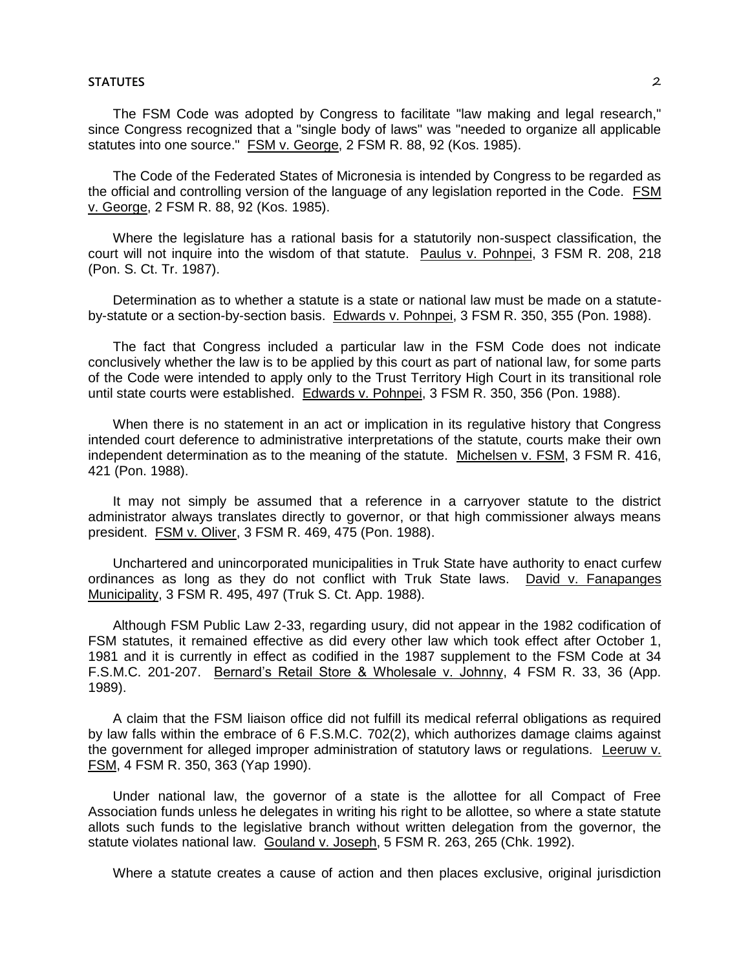#### **STATUTES** 2

The FSM Code was adopted by Congress to facilitate "law making and legal research," since Congress recognized that a "single body of laws" was "needed to organize all applicable statutes into one source." FSM v. George, 2 FSM R. 88, 92 (Kos. 1985).

The Code of the Federated States of Micronesia is intended by Congress to be regarded as the official and controlling version of the language of any legislation reported in the Code. FSM v. George, 2 FSM R. 88, 92 (Kos. 1985).

Where the legislature has a rational basis for a statutorily non-suspect classification, the court will not inquire into the wisdom of that statute. Paulus v. Pohnpei, 3 FSM R. 208, 218 (Pon. S. Ct. Tr. 1987).

Determination as to whether a statute is a state or national law must be made on a statuteby-statute or a section-by-section basis. Edwards v. Pohnpei, 3 FSM R. 350, 355 (Pon. 1988).

The fact that Congress included a particular law in the FSM Code does not indicate conclusively whether the law is to be applied by this court as part of national law, for some parts of the Code were intended to apply only to the Trust Territory High Court in its transitional role until state courts were established. Edwards v. Pohnpei, 3 FSM R. 350, 356 (Pon. 1988).

When there is no statement in an act or implication in its regulative history that Congress intended court deference to administrative interpretations of the statute, courts make their own independent determination as to the meaning of the statute. Michelsen v. FSM, 3 FSM R. 416, 421 (Pon. 1988).

It may not simply be assumed that a reference in a carryover statute to the district administrator always translates directly to governor, or that high commissioner always means president. FSM v. Oliver, 3 FSM R. 469, 475 (Pon. 1988).

Unchartered and unincorporated municipalities in Truk State have authority to enact curfew ordinances as long as they do not conflict with Truk State laws. David v. Fanapanges Municipality, 3 FSM R. 495, 497 (Truk S. Ct. App. 1988).

Although FSM Public Law 2-33, regarding usury, did not appear in the 1982 codification of FSM statutes, it remained effective as did every other law which took effect after October 1, 1981 and it is currently in effect as codified in the 1987 supplement to the FSM Code at 34 F.S.M.C. 201-207. Bernard's Retail Store & Wholesale v. Johnny, 4 FSM R. 33, 36 (App. 1989).

A claim that the FSM liaison office did not fulfill its medical referral obligations as required by law falls within the embrace of 6 F.S.M.C. 702(2), which authorizes damage claims against the government for alleged improper administration of statutory laws or regulations. Leeruw v. FSM, 4 FSM R. 350, 363 (Yap 1990).

Under national law, the governor of a state is the allottee for all Compact of Free Association funds unless he delegates in writing his right to be allottee, so where a state statute allots such funds to the legislative branch without written delegation from the governor, the statute violates national law. Gouland v. Joseph, 5 FSM R. 263, 265 (Chk. 1992).

Where a statute creates a cause of action and then places exclusive, original jurisdiction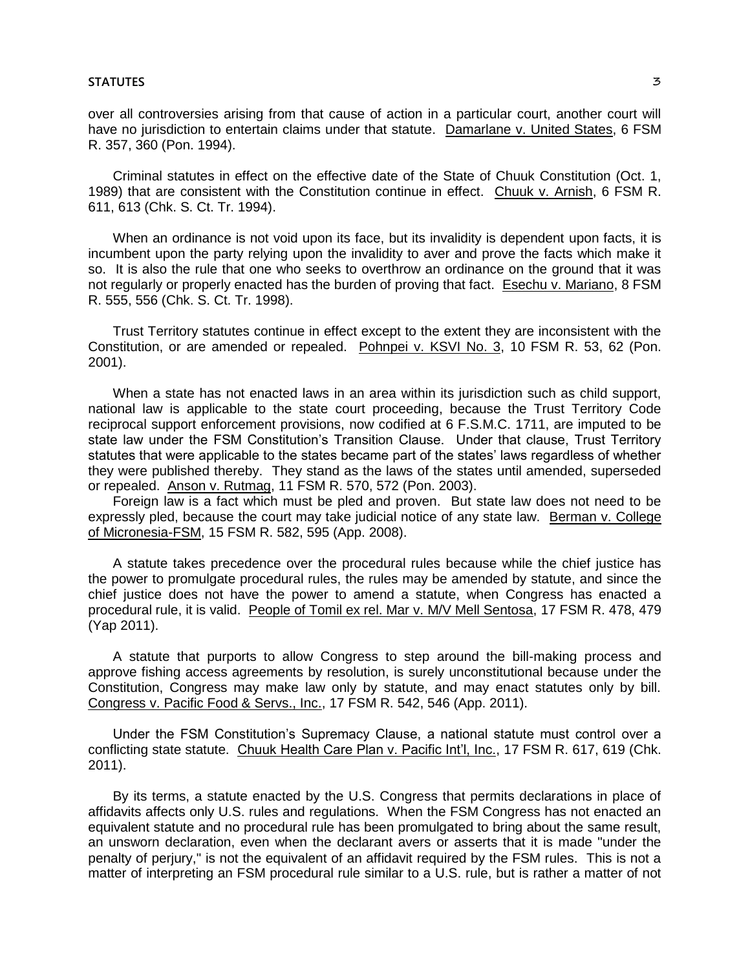over all controversies arising from that cause of action in a particular court, another court will have no jurisdiction to entertain claims under that statute. Damarlane v. United States, 6 FSM R. 357, 360 (Pon. 1994).

Criminal statutes in effect on the effective date of the State of Chuuk Constitution (Oct. 1, 1989) that are consistent with the Constitution continue in effect. Chuuk v. Arnish, 6 FSM R. 611, 613 (Chk. S. Ct. Tr. 1994).

When an ordinance is not void upon its face, but its invalidity is dependent upon facts, it is incumbent upon the party relying upon the invalidity to aver and prove the facts which make it so. It is also the rule that one who seeks to overthrow an ordinance on the ground that it was not regularly or properly enacted has the burden of proving that fact. Esechu v. Mariano, 8 FSM R. 555, 556 (Chk. S. Ct. Tr. 1998).

Trust Territory statutes continue in effect except to the extent they are inconsistent with the Constitution, or are amended or repealed. Pohnpei v. KSVI No. 3, 10 FSM R. 53, 62 (Pon. 2001).

When a state has not enacted laws in an area within its jurisdiction such as child support, national law is applicable to the state court proceeding, because the Trust Territory Code reciprocal support enforcement provisions, now codified at 6 F.S.M.C. 1711, are imputed to be state law under the FSM Constitution's Transition Clause. Under that clause, Trust Territory statutes that were applicable to the states became part of the states' laws regardless of whether they were published thereby. They stand as the laws of the states until amended, superseded or repealed. Anson v. Rutmag, 11 FSM R. 570, 572 (Pon. 2003).

Foreign law is a fact which must be pled and proven. But state law does not need to be expressly pled, because the court may take judicial notice of any state law. Berman v. College of Micronesia-FSM, 15 FSM R. 582, 595 (App. 2008).

A statute takes precedence over the procedural rules because while the chief justice has the power to promulgate procedural rules, the rules may be amended by statute, and since the chief justice does not have the power to amend a statute, when Congress has enacted a procedural rule, it is valid. People of Tomil ex rel. Mar v. M/V Mell Sentosa, 17 FSM R. 478, 479 (Yap 2011).

A statute that purports to allow Congress to step around the bill-making process and approve fishing access agreements by resolution, is surely unconstitutional because under the Constitution, Congress may make law only by statute, and may enact statutes only by bill. Congress v. Pacific Food & Servs., Inc., 17 FSM R. 542, 546 (App. 2011).

Under the FSM Constitution's Supremacy Clause, a national statute must control over a conflicting state statute. Chuuk Health Care Plan v. Pacific Int'l, Inc., 17 FSM R. 617, 619 (Chk. 2011).

By its terms, a statute enacted by the U.S. Congress that permits declarations in place of affidavits affects only U.S. rules and regulations. When the FSM Congress has not enacted an equivalent statute and no procedural rule has been promulgated to bring about the same result, an unsworn declaration, even when the declarant avers or asserts that it is made "under the penalty of perjury," is not the equivalent of an affidavit required by the FSM rules. This is not a matter of interpreting an FSM procedural rule similar to a U.S. rule, but is rather a matter of not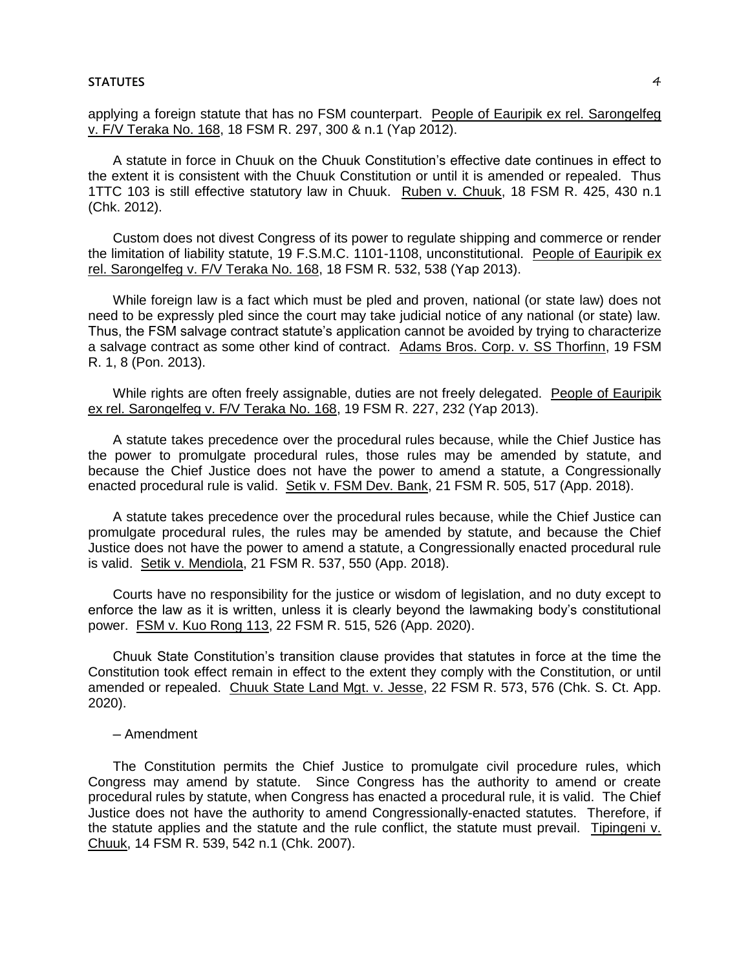applying a foreign statute that has no FSM counterpart. People of Eauripik ex rel. Sarongelfeg v. F/V Teraka No. 168, 18 FSM R. 297, 300 & n.1 (Yap 2012).

A statute in force in Chuuk on the Chuuk Constitution's effective date continues in effect to the extent it is consistent with the Chuuk Constitution or until it is amended or repealed. Thus 1TTC 103 is still effective statutory law in Chuuk. Ruben v. Chuuk, 18 FSM R. 425, 430 n.1 (Chk. 2012).

Custom does not divest Congress of its power to regulate shipping and commerce or render the limitation of liability statute, 19 F.S.M.C. 1101-1108, unconstitutional. People of Eauripik ex rel. Sarongelfeg v. F/V Teraka No. 168, 18 FSM R. 532, 538 (Yap 2013).

While foreign law is a fact which must be pled and proven, national (or state law) does not need to be expressly pled since the court may take judicial notice of any national (or state) law. Thus, the FSM salvage contract statute's application cannot be avoided by trying to characterize a salvage contract as some other kind of contract. Adams Bros. Corp. v. SS Thorfinn, 19 FSM R. 1, 8 (Pon. 2013).

While rights are often freely assignable, duties are not freely delegated. People of Eauripik ex rel. Sarongelfeg v. F/V Teraka No. 168, 19 FSM R. 227, 232 (Yap 2013).

A statute takes precedence over the procedural rules because, while the Chief Justice has the power to promulgate procedural rules, those rules may be amended by statute, and because the Chief Justice does not have the power to amend a statute, a Congressionally enacted procedural rule is valid. Setik v. FSM Dev. Bank, 21 FSM R. 505, 517 (App. 2018).

A statute takes precedence over the procedural rules because, while the Chief Justice can promulgate procedural rules, the rules may be amended by statute, and because the Chief Justice does not have the power to amend a statute, a Congressionally enacted procedural rule is valid. Setik v. Mendiola, 21 FSM R. 537, 550 (App. 2018).

Courts have no responsibility for the justice or wisdom of legislation, and no duty except to enforce the law as it is written, unless it is clearly beyond the lawmaking body's constitutional power. FSM v. Kuo Rong 113, 22 FSM R. 515, 526 (App. 2020).

Chuuk State Constitution's transition clause provides that statutes in force at the time the Constitution took effect remain in effect to the extent they comply with the Constitution, or until amended or repealed. Chuuk State Land Mgt. v. Jesse, 22 FSM R. 573, 576 (Chk. S. Ct. App. 2020).

### ─ Amendment

The Constitution permits the Chief Justice to promulgate civil procedure rules, which Congress may amend by statute. Since Congress has the authority to amend or create procedural rules by statute, when Congress has enacted a procedural rule, it is valid. The Chief Justice does not have the authority to amend Congressionally-enacted statutes. Therefore, if the statute applies and the statute and the rule conflict, the statute must prevail. Tipingeni v. Chuuk, 14 FSM R. 539, 542 n.1 (Chk. 2007).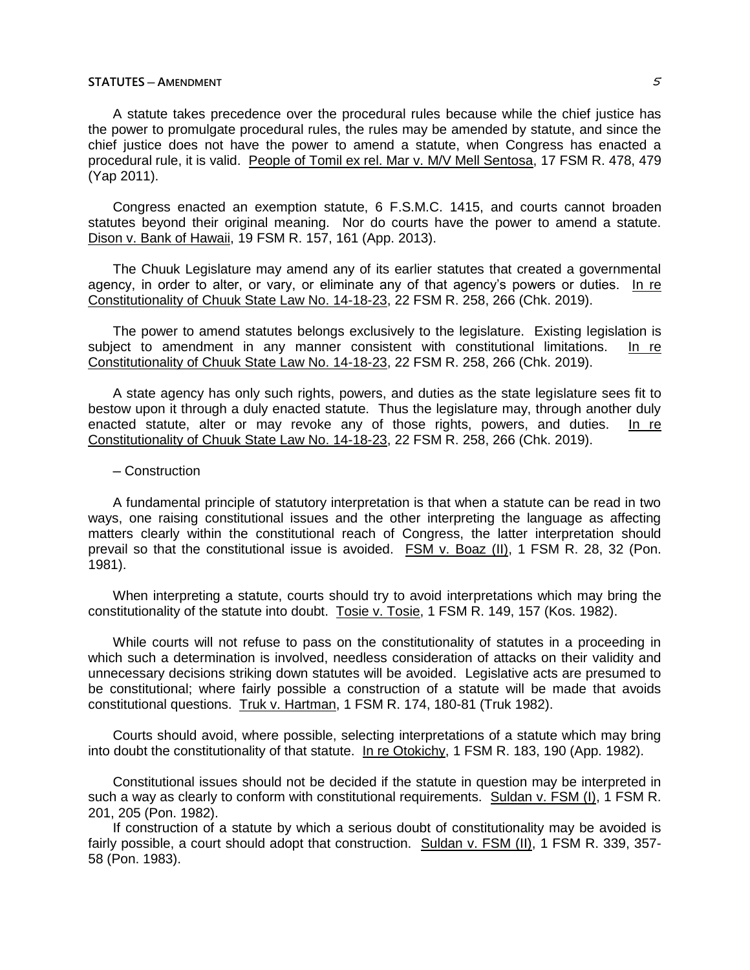# **STATUTES ─ AMENDMENT** 5

A statute takes precedence over the procedural rules because while the chief justice has the power to promulgate procedural rules, the rules may be amended by statute, and since the chief justice does not have the power to amend a statute, when Congress has enacted a procedural rule, it is valid. People of Tomil ex rel. Mar v. M/V Mell Sentosa, 17 FSM R. 478, 479 (Yap 2011).

Congress enacted an exemption statute, 6 F.S.M.C. 1415, and courts cannot broaden statutes beyond their original meaning. Nor do courts have the power to amend a statute. Dison v. Bank of Hawaii, 19 FSM R. 157, 161 (App. 2013).

The Chuuk Legislature may amend any of its earlier statutes that created a governmental agency, in order to alter, or vary, or eliminate any of that agency's powers or duties. In re Constitutionality of Chuuk State Law No. 14-18-23, 22 FSM R. 258, 266 (Chk. 2019).

The power to amend statutes belongs exclusively to the legislature. Existing legislation is subject to amendment in any manner consistent with constitutional limitations. In re Constitutionality of Chuuk State Law No. 14-18-23, 22 FSM R. 258, 266 (Chk. 2019).

A state agency has only such rights, powers, and duties as the state legislature sees fit to bestow upon it through a duly enacted statute. Thus the legislature may, through another duly enacted statute, alter or may revoke any of those rights, powers, and duties. In re Constitutionality of Chuuk State Law No. 14-18-23, 22 FSM R. 258, 266 (Chk. 2019).

## ─ Construction

A fundamental principle of statutory interpretation is that when a statute can be read in two ways, one raising constitutional issues and the other interpreting the language as affecting matters clearly within the constitutional reach of Congress, the latter interpretation should prevail so that the constitutional issue is avoided. FSM v. Boaz (II), 1 FSM R. 28, 32 (Pon. 1981).

When interpreting a statute, courts should try to avoid interpretations which may bring the constitutionality of the statute into doubt. Tosie v. Tosie, 1 FSM R. 149, 157 (Kos. 1982).

While courts will not refuse to pass on the constitutionality of statutes in a proceeding in which such a determination is involved, needless consideration of attacks on their validity and unnecessary decisions striking down statutes will be avoided. Legislative acts are presumed to be constitutional; where fairly possible a construction of a statute will be made that avoids constitutional questions. Truk v. Hartman, 1 FSM R. 174, 180-81 (Truk 1982).

Courts should avoid, where possible, selecting interpretations of a statute which may bring into doubt the constitutionality of that statute. In re Otokichy, 1 FSM R. 183, 190 (App. 1982).

Constitutional issues should not be decided if the statute in question may be interpreted in such a way as clearly to conform with constitutional requirements. Suldan v. FSM (I), 1 FSM R. 201, 205 (Pon. 1982).

If construction of a statute by which a serious doubt of constitutionality may be avoided is fairly possible, a court should adopt that construction. Suldan v. FSM (II), 1 FSM R. 339, 357- 58 (Pon. 1983).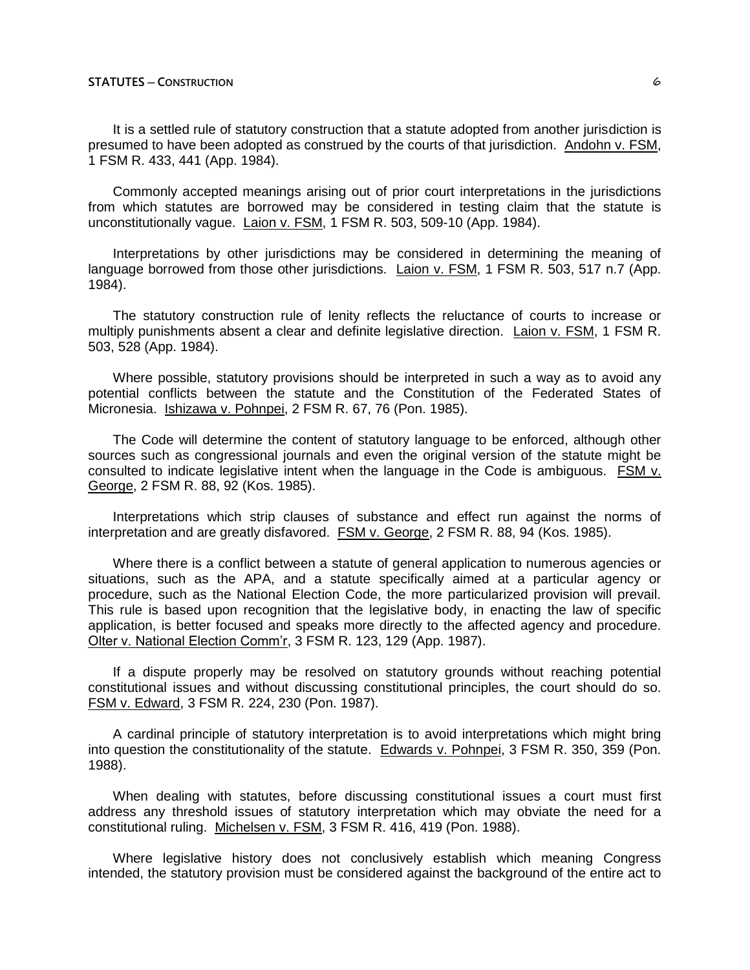It is a settled rule of statutory construction that a statute adopted from another jurisdiction is presumed to have been adopted as construed by the courts of that jurisdiction. Andohn v. FSM, 1 FSM R. 433, 441 (App. 1984).

Commonly accepted meanings arising out of prior court interpretations in the jurisdictions from which statutes are borrowed may be considered in testing claim that the statute is unconstitutionally vague. Laion v. FSM, 1 FSM R. 503, 509-10 (App. 1984).

Interpretations by other jurisdictions may be considered in determining the meaning of language borrowed from those other jurisdictions. Laion v. FSM, 1 FSM R. 503, 517 n.7 (App. 1984).

The statutory construction rule of lenity reflects the reluctance of courts to increase or multiply punishments absent a clear and definite legislative direction. Laion v. FSM, 1 FSM R. 503, 528 (App. 1984).

Where possible, statutory provisions should be interpreted in such a way as to avoid any potential conflicts between the statute and the Constitution of the Federated States of Micronesia. Ishizawa v. Pohnpei, 2 FSM R. 67, 76 (Pon. 1985).

The Code will determine the content of statutory language to be enforced, although other sources such as congressional journals and even the original version of the statute might be consulted to indicate legislative intent when the language in the Code is ambiguous. FSM v. George, 2 FSM R. 88, 92 (Kos. 1985).

Interpretations which strip clauses of substance and effect run against the norms of interpretation and are greatly disfavored. FSM v. George, 2 FSM R. 88, 94 (Kos. 1985).

Where there is a conflict between a statute of general application to numerous agencies or situations, such as the APA, and a statute specifically aimed at a particular agency or procedure, such as the National Election Code, the more particularized provision will prevail. This rule is based upon recognition that the legislative body, in enacting the law of specific application, is better focused and speaks more directly to the affected agency and procedure. Olter v. National Election Comm'r, 3 FSM R. 123, 129 (App. 1987).

If a dispute properly may be resolved on statutory grounds without reaching potential constitutional issues and without discussing constitutional principles, the court should do so. FSM v. Edward, 3 FSM R. 224, 230 (Pon. 1987).

A cardinal principle of statutory interpretation is to avoid interpretations which might bring into question the constitutionality of the statute. Edwards v. Pohnpei, 3 FSM R. 350, 359 (Pon. 1988).

When dealing with statutes, before discussing constitutional issues a court must first address any threshold issues of statutory interpretation which may obviate the need for a constitutional ruling. Michelsen v. FSM, 3 FSM R. 416, 419 (Pon. 1988).

Where legislative history does not conclusively establish which meaning Congress intended, the statutory provision must be considered against the background of the entire act to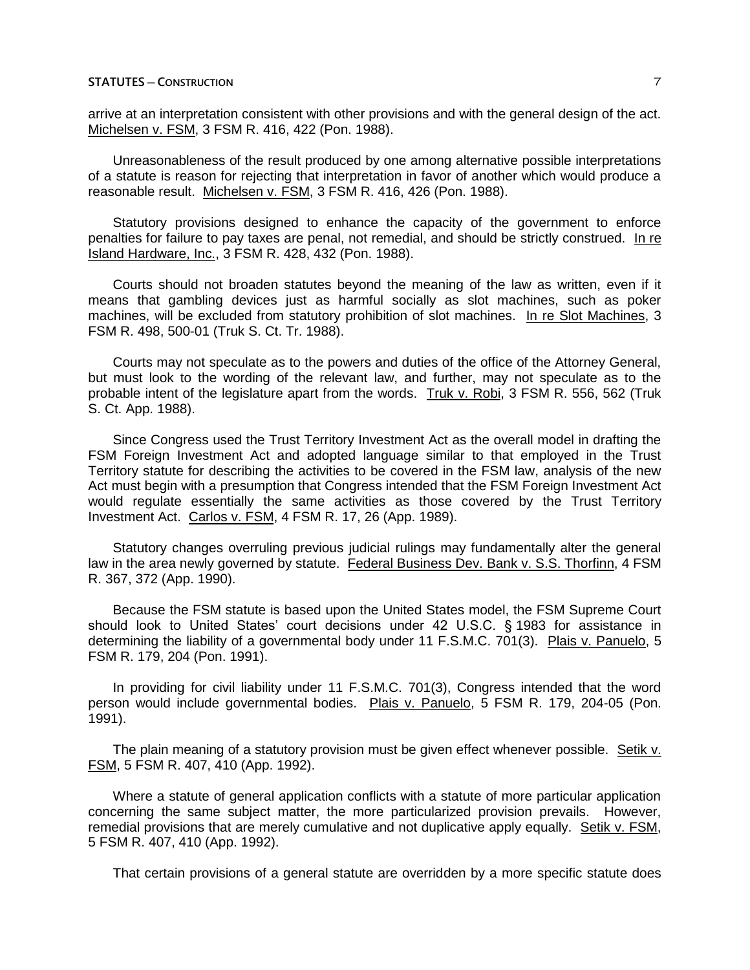arrive at an interpretation consistent with other provisions and with the general design of the act. Michelsen v. FSM, 3 FSM R. 416, 422 (Pon. 1988).

Unreasonableness of the result produced by one among alternative possible interpretations of a statute is reason for rejecting that interpretation in favor of another which would produce a reasonable result. Michelsen v. FSM, 3 FSM R. 416, 426 (Pon. 1988).

Statutory provisions designed to enhance the capacity of the government to enforce penalties for failure to pay taxes are penal, not remedial, and should be strictly construed. In re Island Hardware, Inc., 3 FSM R. 428, 432 (Pon. 1988).

Courts should not broaden statutes beyond the meaning of the law as written, even if it means that gambling devices just as harmful socially as slot machines, such as poker machines, will be excluded from statutory prohibition of slot machines. In re Slot Machines, 3 FSM R. 498, 500-01 (Truk S. Ct. Tr. 1988).

Courts may not speculate as to the powers and duties of the office of the Attorney General, but must look to the wording of the relevant law, and further, may not speculate as to the probable intent of the legislature apart from the words. Truk v. Robi, 3 FSM R. 556, 562 (Truk S. Ct. App. 1988).

Since Congress used the Trust Territory Investment Act as the overall model in drafting the FSM Foreign Investment Act and adopted language similar to that employed in the Trust Territory statute for describing the activities to be covered in the FSM law, analysis of the new Act must begin with a presumption that Congress intended that the FSM Foreign Investment Act would regulate essentially the same activities as those covered by the Trust Territory Investment Act. Carlos v. FSM, 4 FSM R. 17, 26 (App. 1989).

Statutory changes overruling previous judicial rulings may fundamentally alter the general law in the area newly governed by statute. Federal Business Dev. Bank v. S.S. Thorfinn, 4 FSM R. 367, 372 (App. 1990).

Because the FSM statute is based upon the United States model, the FSM Supreme Court should look to United States' court decisions under 42 U.S.C. § 1983 for assistance in determining the liability of a governmental body under 11 F.S.M.C. 701(3). Plais v. Panuelo, 5 FSM R. 179, 204 (Pon. 1991).

In providing for civil liability under 11 F.S.M.C. 701(3), Congress intended that the word person would include governmental bodies. Plais v. Panuelo, 5 FSM R. 179, 204-05 (Pon. 1991).

The plain meaning of a statutory provision must be given effect whenever possible. Setik v. FSM, 5 FSM R. 407, 410 (App. 1992).

Where a statute of general application conflicts with a statute of more particular application concerning the same subject matter, the more particularized provision prevails. However, remedial provisions that are merely cumulative and not duplicative apply equally. Setik v. FSM, 5 FSM R. 407, 410 (App. 1992).

That certain provisions of a general statute are overridden by a more specific statute does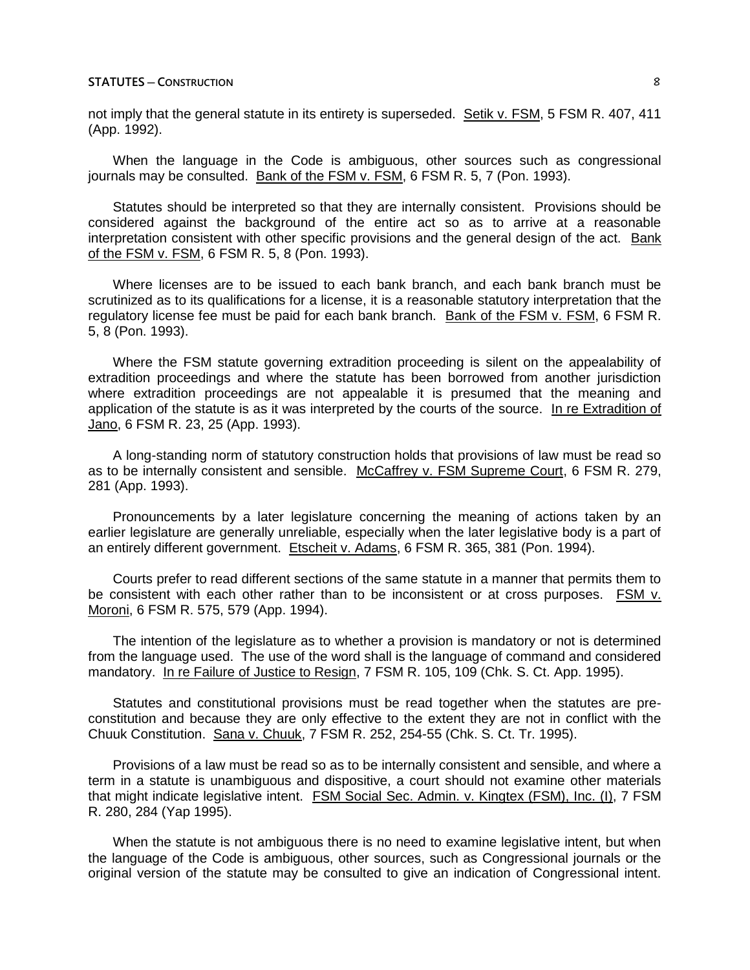not imply that the general statute in its entirety is superseded. Setik v. FSM, 5 FSM R. 407, 411 (App. 1992).

When the language in the Code is ambiguous, other sources such as congressional journals may be consulted. Bank of the FSM v. FSM, 6 FSM R. 5, 7 (Pon. 1993).

Statutes should be interpreted so that they are internally consistent. Provisions should be considered against the background of the entire act so as to arrive at a reasonable interpretation consistent with other specific provisions and the general design of the act. Bank of the FSM v. FSM, 6 FSM R. 5, 8 (Pon. 1993).

Where licenses are to be issued to each bank branch, and each bank branch must be scrutinized as to its qualifications for a license, it is a reasonable statutory interpretation that the regulatory license fee must be paid for each bank branch. Bank of the FSM v. FSM, 6 FSM R. 5, 8 (Pon. 1993).

Where the FSM statute governing extradition proceeding is silent on the appealability of extradition proceedings and where the statute has been borrowed from another jurisdiction where extradition proceedings are not appealable it is presumed that the meaning and application of the statute is as it was interpreted by the courts of the source. In re Extradition of Jano, 6 FSM R. 23, 25 (App. 1993).

A long-standing norm of statutory construction holds that provisions of law must be read so as to be internally consistent and sensible. McCaffrey v. FSM Supreme Court, 6 FSM R. 279, 281 (App. 1993).

Pronouncements by a later legislature concerning the meaning of actions taken by an earlier legislature are generally unreliable, especially when the later legislative body is a part of an entirely different government. Etscheit v. Adams, 6 FSM R. 365, 381 (Pon. 1994).

Courts prefer to read different sections of the same statute in a manner that permits them to be consistent with each other rather than to be inconsistent or at cross purposes. FSM v. Moroni, 6 FSM R. 575, 579 (App. 1994).

The intention of the legislature as to whether a provision is mandatory or not is determined from the language used. The use of the word shall is the language of command and considered mandatory. In re Failure of Justice to Resign, 7 FSM R. 105, 109 (Chk. S. Ct. App. 1995).

Statutes and constitutional provisions must be read together when the statutes are preconstitution and because they are only effective to the extent they are not in conflict with the Chuuk Constitution. Sana v. Chuuk, 7 FSM R. 252, 254-55 (Chk. S. Ct. Tr. 1995).

Provisions of a law must be read so as to be internally consistent and sensible, and where a term in a statute is unambiguous and dispositive, a court should not examine other materials that might indicate legislative intent. FSM Social Sec. Admin. v. Kingtex (FSM), Inc. (I), 7 FSM R. 280, 284 (Yap 1995).

When the statute is not ambiguous there is no need to examine legislative intent, but when the language of the Code is ambiguous, other sources, such as Congressional journals or the original version of the statute may be consulted to give an indication of Congressional intent.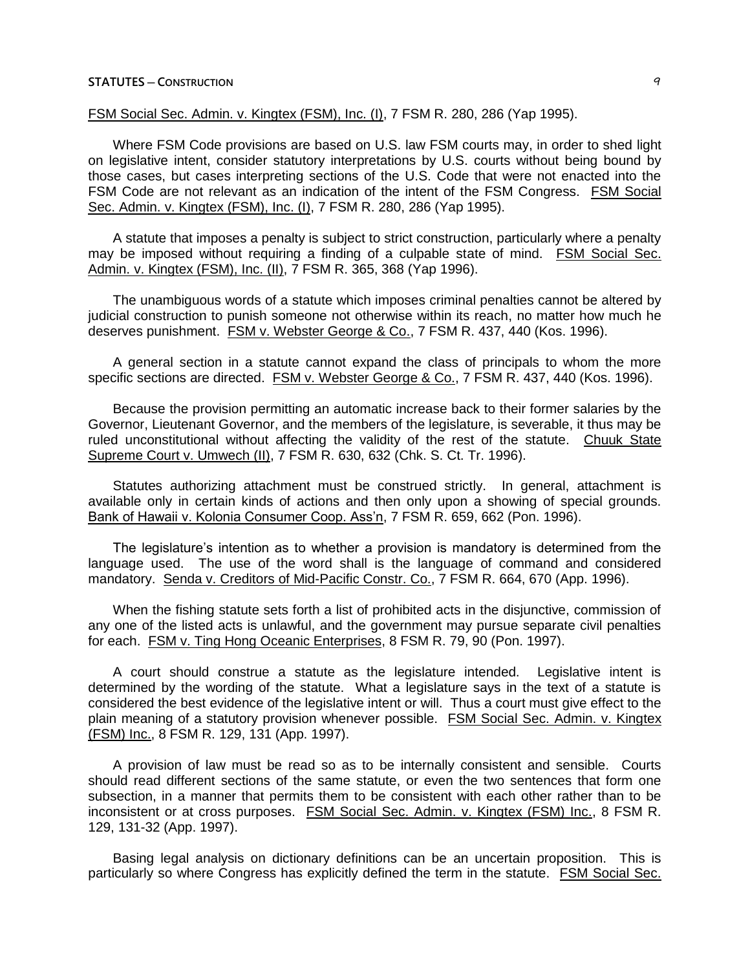# FSM Social Sec. Admin. v. Kingtex (FSM), Inc. (I), 7 FSM R. 280, 286 (Yap 1995).

Where FSM Code provisions are based on U.S. law FSM courts may, in order to shed light on legislative intent, consider statutory interpretations by U.S. courts without being bound by those cases, but cases interpreting sections of the U.S. Code that were not enacted into the FSM Code are not relevant as an indication of the intent of the FSM Congress. FSM Social Sec. Admin. v. Kingtex (FSM), Inc. (I), 7 FSM R. 280, 286 (Yap 1995).

A statute that imposes a penalty is subject to strict construction, particularly where a penalty may be imposed without requiring a finding of a culpable state of mind. FSM Social Sec. Admin. v. Kingtex (FSM), Inc. (II), 7 FSM R. 365, 368 (Yap 1996).

The unambiguous words of a statute which imposes criminal penalties cannot be altered by judicial construction to punish someone not otherwise within its reach, no matter how much he deserves punishment. FSM v. Webster George & Co., 7 FSM R. 437, 440 (Kos. 1996).

A general section in a statute cannot expand the class of principals to whom the more specific sections are directed. FSM v. Webster George & Co., 7 FSM R. 437, 440 (Kos. 1996).

Because the provision permitting an automatic increase back to their former salaries by the Governor, Lieutenant Governor, and the members of the legislature, is severable, it thus may be ruled unconstitutional without affecting the validity of the rest of the statute. Chuuk State Supreme Court v. Umwech (II), 7 FSM R. 630, 632 (Chk. S. Ct. Tr. 1996).

Statutes authorizing attachment must be construed strictly. In general, attachment is available only in certain kinds of actions and then only upon a showing of special grounds. Bank of Hawaii v. Kolonia Consumer Coop. Ass'n, 7 FSM R. 659, 662 (Pon. 1996).

The legislature's intention as to whether a provision is mandatory is determined from the language used. The use of the word shall is the language of command and considered mandatory. Senda v. Creditors of Mid-Pacific Constr. Co., 7 FSM R. 664, 670 (App. 1996).

When the fishing statute sets forth a list of prohibited acts in the disjunctive, commission of any one of the listed acts is unlawful, and the government may pursue separate civil penalties for each. FSM v. Ting Hong Oceanic Enterprises, 8 FSM R. 79, 90 (Pon. 1997).

A court should construe a statute as the legislature intended. Legislative intent is determined by the wording of the statute. What a legislature says in the text of a statute is considered the best evidence of the legislative intent or will. Thus a court must give effect to the plain meaning of a statutory provision whenever possible. FSM Social Sec. Admin. v. Kingtex (FSM) Inc., 8 FSM R. 129, 131 (App. 1997).

A provision of law must be read so as to be internally consistent and sensible. Courts should read different sections of the same statute, or even the two sentences that form one subsection, in a manner that permits them to be consistent with each other rather than to be inconsistent or at cross purposes. FSM Social Sec. Admin. v. Kingtex (FSM) Inc., 8 FSM R. 129, 131-32 (App. 1997).

Basing legal analysis on dictionary definitions can be an uncertain proposition. This is particularly so where Congress has explicitly defined the term in the statute. FSM Social Sec.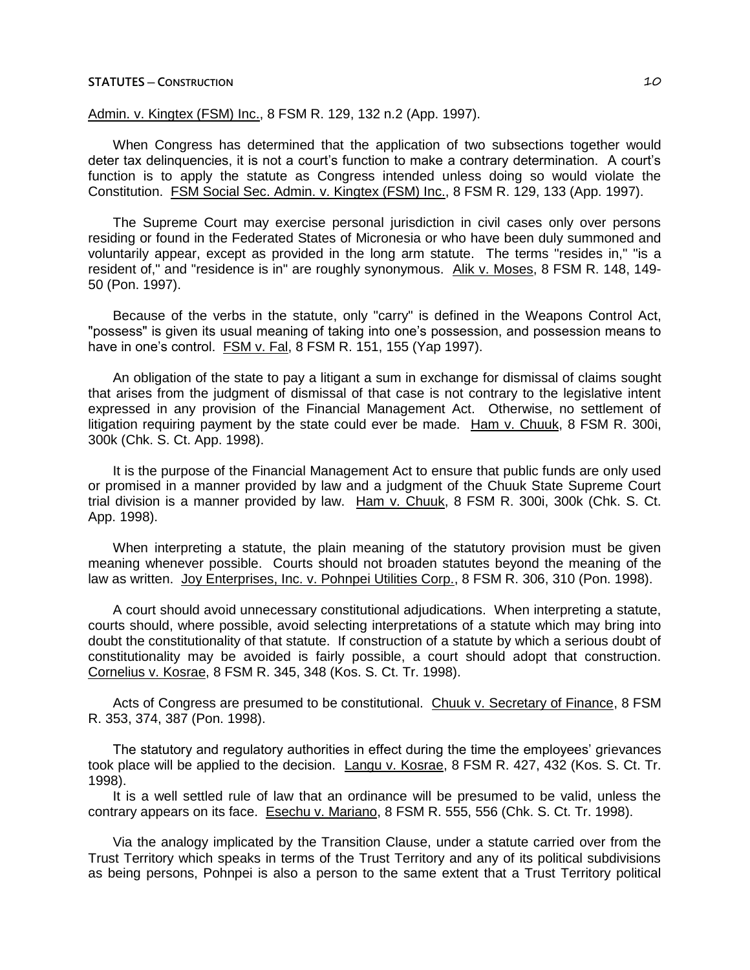# Admin. v. Kingtex (FSM) Inc., 8 FSM R. 129, 132 n.2 (App. 1997).

When Congress has determined that the application of two subsections together would deter tax delinquencies, it is not a court's function to make a contrary determination. A court's function is to apply the statute as Congress intended unless doing so would violate the Constitution. FSM Social Sec. Admin. v. Kingtex (FSM) Inc., 8 FSM R. 129, 133 (App. 1997).

The Supreme Court may exercise personal jurisdiction in civil cases only over persons residing or found in the Federated States of Micronesia or who have been duly summoned and voluntarily appear, except as provided in the long arm statute. The terms "resides in," "is a resident of," and "residence is in" are roughly synonymous. Alik v. Moses, 8 FSM R. 148, 149-50 (Pon. 1997).

Because of the verbs in the statute, only "carry" is defined in the Weapons Control Act, "possess" is given its usual meaning of taking into one's possession, and possession means to have in one's control. FSM v. Fal, 8 FSM R. 151, 155 (Yap 1997).

An obligation of the state to pay a litigant a sum in exchange for dismissal of claims sought that arises from the judgment of dismissal of that case is not contrary to the legislative intent expressed in any provision of the Financial Management Act. Otherwise, no settlement of litigation requiring payment by the state could ever be made. Ham v. Chuuk, 8 FSM R. 300i, 300k (Chk. S. Ct. App. 1998).

It is the purpose of the Financial Management Act to ensure that public funds are only used or promised in a manner provided by law and a judgment of the Chuuk State Supreme Court trial division is a manner provided by law. Ham v. Chuuk, 8 FSM R. 300i, 300k (Chk. S. Ct. App. 1998).

When interpreting a statute, the plain meaning of the statutory provision must be given meaning whenever possible. Courts should not broaden statutes beyond the meaning of the law as written. Joy Enterprises, Inc. v. Pohnpei Utilities Corp., 8 FSM R. 306, 310 (Pon. 1998).

A court should avoid unnecessary constitutional adjudications. When interpreting a statute, courts should, where possible, avoid selecting interpretations of a statute which may bring into doubt the constitutionality of that statute. If construction of a statute by which a serious doubt of constitutionality may be avoided is fairly possible, a court should adopt that construction. Cornelius v. Kosrae, 8 FSM R. 345, 348 (Kos. S. Ct. Tr. 1998).

Acts of Congress are presumed to be constitutional. Chuuk v. Secretary of Finance, 8 FSM R. 353, 374, 387 (Pon. 1998).

The statutory and regulatory authorities in effect during the time the employees' grievances took place will be applied to the decision. Langu v. Kosrae, 8 FSM R. 427, 432 (Kos. S. Ct. Tr. 1998).

It is a well settled rule of law that an ordinance will be presumed to be valid, unless the contrary appears on its face. Esechu v. Mariano, 8 FSM R. 555, 556 (Chk. S. Ct. Tr. 1998).

Via the analogy implicated by the Transition Clause, under a statute carried over from the Trust Territory which speaks in terms of the Trust Territory and any of its political subdivisions as being persons, Pohnpei is also a person to the same extent that a Trust Territory political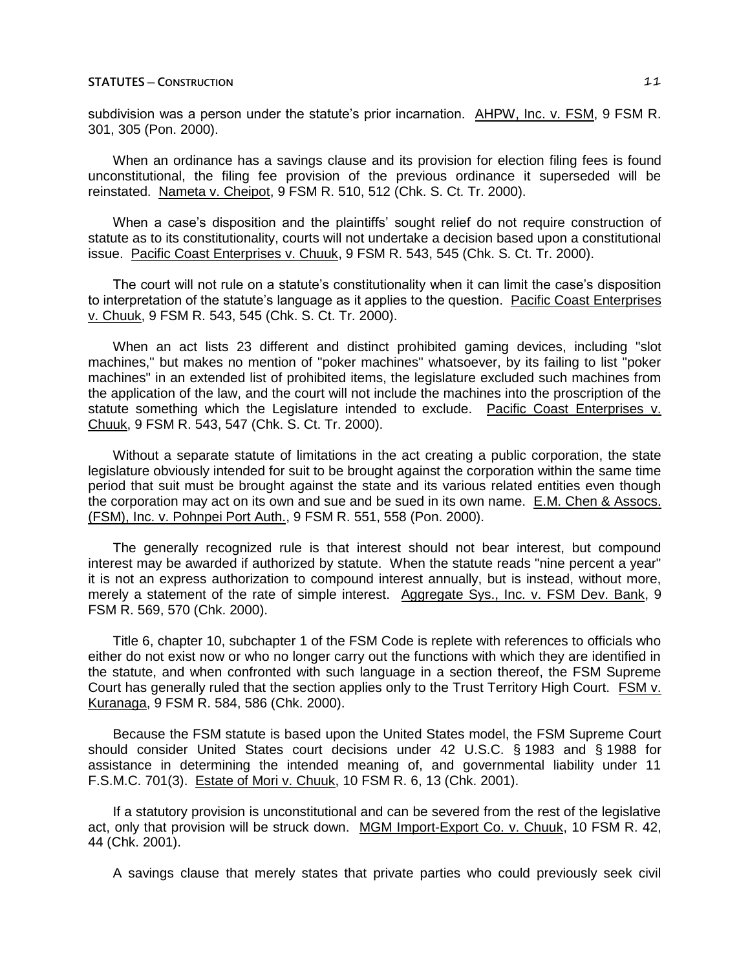subdivision was a person under the statute's prior incarnation. AHPW, Inc. v. FSM, 9 FSM R. 301, 305 (Pon. 2000).

When an ordinance has a savings clause and its provision for election filing fees is found unconstitutional, the filing fee provision of the previous ordinance it superseded will be reinstated. Nameta v. Cheipot, 9 FSM R. 510, 512 (Chk. S. Ct. Tr. 2000).

When a case's disposition and the plaintiffs' sought relief do not require construction of statute as to its constitutionality, courts will not undertake a decision based upon a constitutional issue. Pacific Coast Enterprises v. Chuuk, 9 FSM R. 543, 545 (Chk. S. Ct. Tr. 2000).

The court will not rule on a statute's constitutionality when it can limit the case's disposition to interpretation of the statute's language as it applies to the question. Pacific Coast Enterprises v. Chuuk, 9 FSM R. 543, 545 (Chk. S. Ct. Tr. 2000).

When an act lists 23 different and distinct prohibited gaming devices, including "slot machines," but makes no mention of "poker machines" whatsoever, by its failing to list "poker machines" in an extended list of prohibited items, the legislature excluded such machines from the application of the law, and the court will not include the machines into the proscription of the statute something which the Legislature intended to exclude. Pacific Coast Enterprises v. Chuuk, 9 FSM R. 543, 547 (Chk. S. Ct. Tr. 2000).

Without a separate statute of limitations in the act creating a public corporation, the state legislature obviously intended for suit to be brought against the corporation within the same time period that suit must be brought against the state and its various related entities even though the corporation may act on its own and sue and be sued in its own name. E.M. Chen & Assocs. (FSM), Inc. v. Pohnpei Port Auth., 9 FSM R. 551, 558 (Pon. 2000).

The generally recognized rule is that interest should not bear interest, but compound interest may be awarded if authorized by statute. When the statute reads "nine percent a year" it is not an express authorization to compound interest annually, but is instead, without more, merely a statement of the rate of simple interest. Aggregate Sys., Inc. v. FSM Dev. Bank, 9 FSM R. 569, 570 (Chk. 2000).

Title 6, chapter 10, subchapter 1 of the FSM Code is replete with references to officials who either do not exist now or who no longer carry out the functions with which they are identified in the statute, and when confronted with such language in a section thereof, the FSM Supreme Court has generally ruled that the section applies only to the Trust Territory High Court. FSM v. Kuranaga, 9 FSM R. 584, 586 (Chk. 2000).

Because the FSM statute is based upon the United States model, the FSM Supreme Court should consider United States court decisions under 42 U.S.C. § 1983 and § 1988 for assistance in determining the intended meaning of, and governmental liability under 11 F.S.M.C. 701(3). Estate of Mori v. Chuuk, 10 FSM R. 6, 13 (Chk. 2001).

If a statutory provision is unconstitutional and can be severed from the rest of the legislative act, only that provision will be struck down. MGM Import-Export Co. v. Chuuk, 10 FSM R. 42, 44 (Chk. 2001).

A savings clause that merely states that private parties who could previously seek civil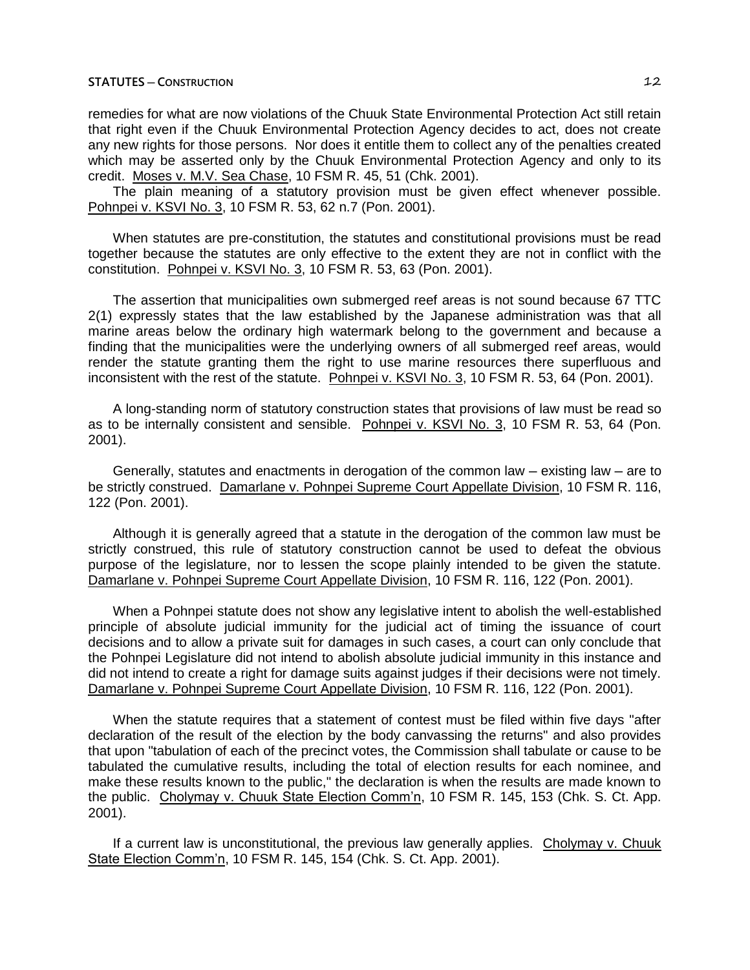remedies for what are now violations of the Chuuk State Environmental Protection Act still retain that right even if the Chuuk Environmental Protection Agency decides to act, does not create any new rights for those persons. Nor does it entitle them to collect any of the penalties created which may be asserted only by the Chuuk Environmental Protection Agency and only to its credit. Moses v. M.V. Sea Chase, 10 FSM R. 45, 51 (Chk. 2001).

The plain meaning of a statutory provision must be given effect whenever possible. Pohnpei v. KSVI No. 3, 10 FSM R. 53, 62 n.7 (Pon. 2001).

When statutes are pre-constitution, the statutes and constitutional provisions must be read together because the statutes are only effective to the extent they are not in conflict with the constitution. Pohnpei v. KSVI No. 3, 10 FSM R. 53, 63 (Pon. 2001).

The assertion that municipalities own submerged reef areas is not sound because 67 TTC 2(1) expressly states that the law established by the Japanese administration was that all marine areas below the ordinary high watermark belong to the government and because a finding that the municipalities were the underlying owners of all submerged reef areas, would render the statute granting them the right to use marine resources there superfluous and inconsistent with the rest of the statute. Pohnpei v. KSVI No. 3, 10 FSM R. 53, 64 (Pon. 2001).

A long-standing norm of statutory construction states that provisions of law must be read so as to be internally consistent and sensible. Pohnpei v. KSVI No. 3, 10 FSM R. 53, 64 (Pon. 2001).

Generally, statutes and enactments in derogation of the common law ─ existing law ─ are to be strictly construed. Damarlane v. Pohnpei Supreme Court Appellate Division, 10 FSM R. 116, 122 (Pon. 2001).

Although it is generally agreed that a statute in the derogation of the common law must be strictly construed, this rule of statutory construction cannot be used to defeat the obvious purpose of the legislature, nor to lessen the scope plainly intended to be given the statute. Damarlane v. Pohnpei Supreme Court Appellate Division, 10 FSM R. 116, 122 (Pon. 2001).

When a Pohnpei statute does not show any legislative intent to abolish the well-established principle of absolute judicial immunity for the judicial act of timing the issuance of court decisions and to allow a private suit for damages in such cases, a court can only conclude that the Pohnpei Legislature did not intend to abolish absolute judicial immunity in this instance and did not intend to create a right for damage suits against judges if their decisions were not timely. Damarlane v. Pohnpei Supreme Court Appellate Division, 10 FSM R. 116, 122 (Pon. 2001).

When the statute requires that a statement of contest must be filed within five days "after declaration of the result of the election by the body canvassing the returns" and also provides that upon "tabulation of each of the precinct votes, the Commission shall tabulate or cause to be tabulated the cumulative results, including the total of election results for each nominee, and make these results known to the public," the declaration is when the results are made known to the public. Cholymay v. Chuuk State Election Comm'n, 10 FSM R. 145, 153 (Chk. S. Ct. App. 2001).

If a current law is unconstitutional, the previous law generally applies. Cholymay v. Chuuk State Election Comm'n, 10 FSM R. 145, 154 (Chk. S. Ct. App. 2001).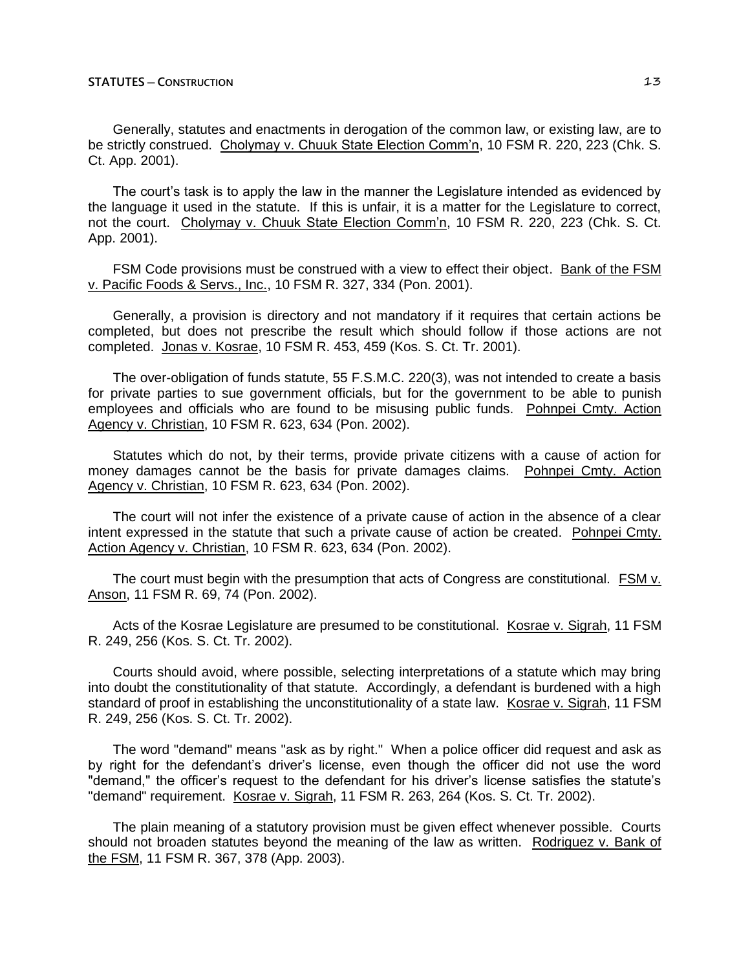Generally, statutes and enactments in derogation of the common law, or existing law, are to be strictly construed. Cholymay v. Chuuk State Election Comm'n, 10 FSM R. 220, 223 (Chk. S. Ct. App. 2001).

The court's task is to apply the law in the manner the Legislature intended as evidenced by the language it used in the statute. If this is unfair, it is a matter for the Legislature to correct, not the court. Cholymay v. Chuuk State Election Comm'n, 10 FSM R. 220, 223 (Chk. S. Ct. App. 2001).

FSM Code provisions must be construed with a view to effect their object. Bank of the FSM v. Pacific Foods & Servs., Inc., 10 FSM R. 327, 334 (Pon. 2001).

Generally, a provision is directory and not mandatory if it requires that certain actions be completed, but does not prescribe the result which should follow if those actions are not completed. Jonas v. Kosrae, 10 FSM R. 453, 459 (Kos. S. Ct. Tr. 2001).

The over-obligation of funds statute, 55 F.S.M.C. 220(3), was not intended to create a basis for private parties to sue government officials, but for the government to be able to punish employees and officials who are found to be misusing public funds. Pohnpei Cmty. Action Agency v. Christian, 10 FSM R. 623, 634 (Pon. 2002).

Statutes which do not, by their terms, provide private citizens with a cause of action for money damages cannot be the basis for private damages claims. Pohnpei Cmty. Action Agency v. Christian, 10 FSM R. 623, 634 (Pon. 2002).

The court will not infer the existence of a private cause of action in the absence of a clear intent expressed in the statute that such a private cause of action be created. Pohnpei Cmty. Action Agency v. Christian, 10 FSM R. 623, 634 (Pon. 2002).

The court must begin with the presumption that acts of Congress are constitutional. FSM v. Anson, 11 FSM R. 69, 74 (Pon. 2002).

Acts of the Kosrae Legislature are presumed to be constitutional. Kosrae v. Sigrah, 11 FSM R. 249, 256 (Kos. S. Ct. Tr. 2002).

Courts should avoid, where possible, selecting interpretations of a statute which may bring into doubt the constitutionality of that statute. Accordingly, a defendant is burdened with a high standard of proof in establishing the unconstitutionality of a state law. Kosrae v. Sigrah, 11 FSM R. 249, 256 (Kos. S. Ct. Tr. 2002).

The word "demand" means "ask as by right." When a police officer did request and ask as by right for the defendant's driver's license, even though the officer did not use the word "demand," the officer's request to the defendant for his driver's license satisfies the statute's "demand" requirement. Kosrae v. Sigrah, 11 FSM R. 263, 264 (Kos. S. Ct. Tr. 2002).

The plain meaning of a statutory provision must be given effect whenever possible. Courts should not broaden statutes beyond the meaning of the law as written. Rodriguez v. Bank of the FSM, 11 FSM R. 367, 378 (App. 2003).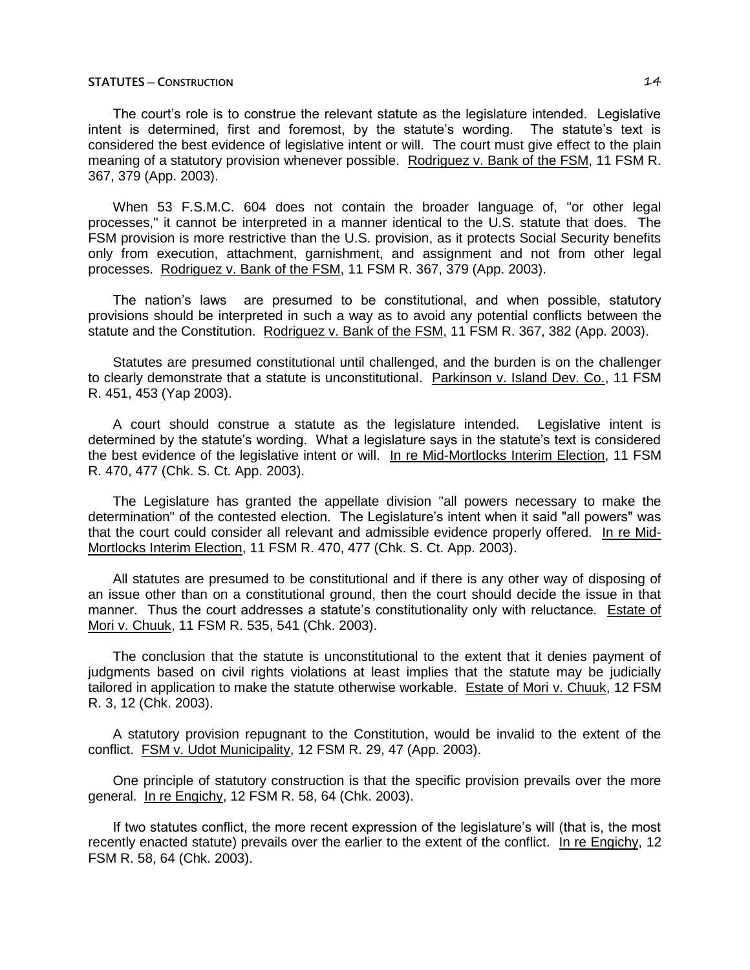The court's role is to construe the relevant statute as the legislature intended. Legislative intent is determined, first and foremost, by the statute's wording. The statute's text is considered the best evidence of legislative intent or will. The court must give effect to the plain meaning of a statutory provision whenever possible. Rodriguez v. Bank of the FSM, 11 FSM R. 367, 379 (App. 2003).

When 53 F.S.M.C. 604 does not contain the broader language of, "or other legal processes," it cannot be interpreted in a manner identical to the U.S. statute that does. The FSM provision is more restrictive than the U.S. provision, as it protects Social Security benefits only from execution, attachment, garnishment, and assignment and not from other legal processes. Rodriguez v. Bank of the FSM, 11 FSM R. 367, 379 (App. 2003).

The nation's laws are presumed to be constitutional, and when possible, statutory provisions should be interpreted in such a way as to avoid any potential conflicts between the statute and the Constitution. Rodriguez v. Bank of the FSM, 11 FSM R. 367, 382 (App. 2003).

Statutes are presumed constitutional until challenged, and the burden is on the challenger to clearly demonstrate that a statute is unconstitutional. Parkinson v. Island Dev. Co., 11 FSM R. 451, 453 (Yap 2003).

A court should construe a statute as the legislature intended. Legislative intent is determined by the statute's wording. What a legislature says in the statute's text is considered the best evidence of the legislative intent or will. In re Mid-Mortlocks Interim Election, 11 FSM R. 470, 477 (Chk. S. Ct. App. 2003).

The Legislature has granted the appellate division "all powers necessary to make the determination" of the contested election. The Legislature's intent when it said "all powers" was that the court could consider all relevant and admissible evidence properly offered. In re Mid-Mortlocks Interim Election, 11 FSM R. 470, 477 (Chk. S. Ct. App. 2003).

All statutes are presumed to be constitutional and if there is any other way of disposing of an issue other than on a constitutional ground, then the court should decide the issue in that manner. Thus the court addresses a statute's constitutionality only with reluctance. Estate of Mori v. Chuuk, 11 FSM R. 535, 541 (Chk. 2003).

The conclusion that the statute is unconstitutional to the extent that it denies payment of judgments based on civil rights violations at least implies that the statute may be judicially tailored in application to make the statute otherwise workable. Estate of Mori v. Chuuk, 12 FSM R. 3, 12 (Chk. 2003).

A statutory provision repugnant to the Constitution, would be invalid to the extent of the conflict. FSM v. Udot Municipality, 12 FSM R. 29, 47 (App. 2003).

One principle of statutory construction is that the specific provision prevails over the more general. In re Engichy, 12 FSM R. 58, 64 (Chk. 2003).

If two statutes conflict, the more recent expression of the legislature's will (that is, the most recently enacted statute) prevails over the earlier to the extent of the conflict. In re Engichy, 12 FSM R. 58, 64 (Chk. 2003).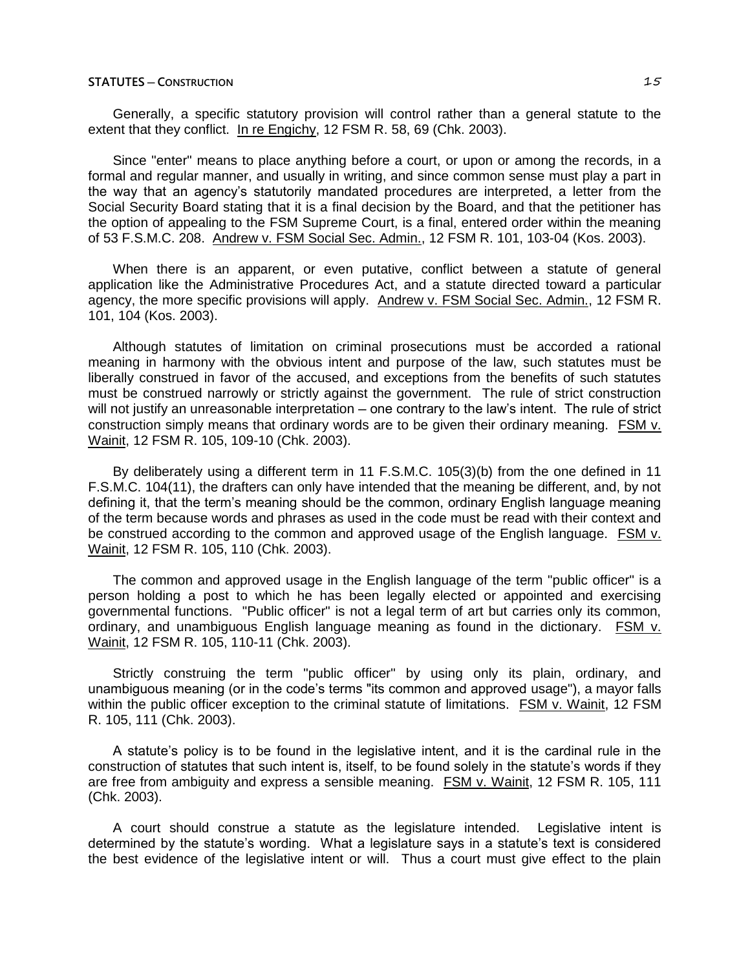Generally, a specific statutory provision will control rather than a general statute to the extent that they conflict. In re Engichy, 12 FSM R. 58, 69 (Chk. 2003).

Since "enter" means to place anything before a court, or upon or among the records, in a formal and regular manner, and usually in writing, and since common sense must play a part in the way that an agency's statutorily mandated procedures are interpreted, a letter from the Social Security Board stating that it is a final decision by the Board, and that the petitioner has the option of appealing to the FSM Supreme Court, is a final, entered order within the meaning of 53 F.S.M.C. 208. Andrew v. FSM Social Sec. Admin., 12 FSM R. 101, 103-04 (Kos. 2003).

When there is an apparent, or even putative, conflict between a statute of general application like the Administrative Procedures Act, and a statute directed toward a particular agency, the more specific provisions will apply. Andrew v. FSM Social Sec. Admin., 12 FSM R. 101, 104 (Kos. 2003).

Although statutes of limitation on criminal prosecutions must be accorded a rational meaning in harmony with the obvious intent and purpose of the law, such statutes must be liberally construed in favor of the accused, and exceptions from the benefits of such statutes must be construed narrowly or strictly against the government. The rule of strict construction will not justify an unreasonable interpretation — one contrary to the law's intent. The rule of strict construction simply means that ordinary words are to be given their ordinary meaning. FSM v. Wainit, 12 FSM R. 105, 109-10 (Chk. 2003).

By deliberately using a different term in 11 F.S.M.C. 105(3)(b) from the one defined in 11 F.S.M.C. 104(11), the drafters can only have intended that the meaning be different, and, by not defining it, that the term's meaning should be the common, ordinary English language meaning of the term because words and phrases as used in the code must be read with their context and be construed according to the common and approved usage of the English language. FSM v. Wainit, 12 FSM R. 105, 110 (Chk. 2003).

The common and approved usage in the English language of the term "public officer" is a person holding a post to which he has been legally elected or appointed and exercising governmental functions. "Public officer" is not a legal term of art but carries only its common, ordinary, and unambiguous English language meaning as found in the dictionary. FSM v. Wainit, 12 FSM R. 105, 110-11 (Chk. 2003).

Strictly construing the term "public officer" by using only its plain, ordinary, and unambiguous meaning (or in the code's terms "its common and approved usage"), a mayor falls within the public officer exception to the criminal statute of limitations. FSM v. Wainit, 12 FSM R. 105, 111 (Chk. 2003).

A statute's policy is to be found in the legislative intent, and it is the cardinal rule in the construction of statutes that such intent is, itself, to be found solely in the statute's words if they are free from ambiguity and express a sensible meaning. FSM v. Wainit, 12 FSM R. 105, 111 (Chk. 2003).

A court should construe a statute as the legislature intended. Legislative intent is determined by the statute's wording. What a legislature says in a statute's text is considered the best evidence of the legislative intent or will. Thus a court must give effect to the plain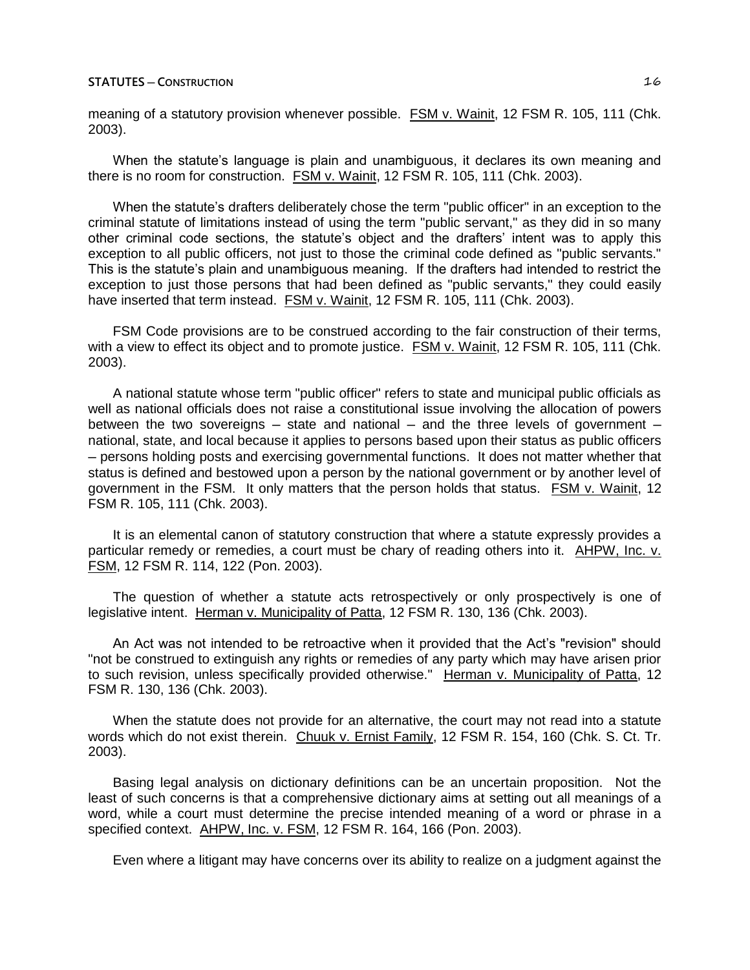meaning of a statutory provision whenever possible. FSM v. Wainit, 12 FSM R. 105, 111 (Chk. 2003).

When the statute's language is plain and unambiguous, it declares its own meaning and there is no room for construction. FSM v. Wainit, 12 FSM R. 105, 111 (Chk. 2003).

When the statute's drafters deliberately chose the term "public officer" in an exception to the criminal statute of limitations instead of using the term "public servant," as they did in so many other criminal code sections, the statute's object and the drafters' intent was to apply this exception to all public officers, not just to those the criminal code defined as "public servants." This is the statute's plain and unambiguous meaning. If the drafters had intended to restrict the exception to just those persons that had been defined as "public servants," they could easily have inserted that term instead. FSM v. Wainit, 12 FSM R. 105, 111 (Chk. 2003).

FSM Code provisions are to be construed according to the fair construction of their terms, with a view to effect its object and to promote justice. FSM v. Wainit, 12 FSM R. 105, 111 (Chk. 2003).

A national statute whose term "public officer" refers to state and municipal public officials as well as national officials does not raise a constitutional issue involving the allocation of powers between the two sovereigns  $-$  state and national  $-$  and the three levels of government  $$ national, state, and local because it applies to persons based upon their status as public officers ─ persons holding posts and exercising governmental functions. It does not matter whether that status is defined and bestowed upon a person by the national government or by another level of government in the FSM. It only matters that the person holds that status. FSM v. Wainit, 12 FSM R. 105, 111 (Chk. 2003).

It is an elemental canon of statutory construction that where a statute expressly provides a particular remedy or remedies, a court must be chary of reading others into it. AHPW, Inc. v. FSM, 12 FSM R. 114, 122 (Pon. 2003).

The question of whether a statute acts retrospectively or only prospectively is one of legislative intent. Herman v. Municipality of Patta, 12 FSM R. 130, 136 (Chk. 2003).

An Act was not intended to be retroactive when it provided that the Act's "revision" should "not be construed to extinguish any rights or remedies of any party which may have arisen prior to such revision, unless specifically provided otherwise." Herman v. Municipality of Patta, 12 FSM R. 130, 136 (Chk. 2003).

When the statute does not provide for an alternative, the court may not read into a statute words which do not exist therein. Chuuk v. Ernist Family, 12 FSM R. 154, 160 (Chk. S. Ct. Tr. 2003).

Basing legal analysis on dictionary definitions can be an uncertain proposition. Not the least of such concerns is that a comprehensive dictionary aims at setting out all meanings of a word, while a court must determine the precise intended meaning of a word or phrase in a specified context. AHPW, Inc. v. FSM, 12 FSM R. 164, 166 (Pon. 2003).

Even where a litigant may have concerns over its ability to realize on a judgment against the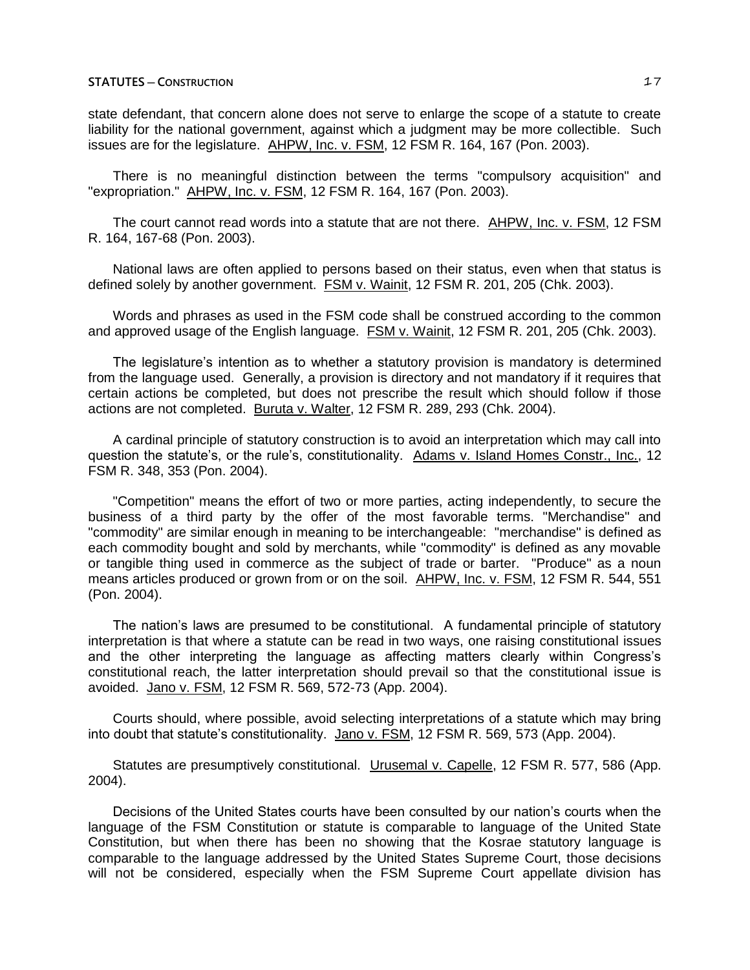state defendant, that concern alone does not serve to enlarge the scope of a statute to create liability for the national government, against which a judgment may be more collectible. Such issues are for the legislature. AHPW, Inc. v. FSM, 12 FSM R. 164, 167 (Pon. 2003).

There is no meaningful distinction between the terms "compulsory acquisition" and "expropriation." AHPW, Inc. v. FSM, 12 FSM R. 164, 167 (Pon. 2003).

The court cannot read words into a statute that are not there. AHPW, Inc. v. FSM, 12 FSM R. 164, 167-68 (Pon. 2003).

National laws are often applied to persons based on their status, even when that status is defined solely by another government. FSM v. Wainit, 12 FSM R. 201, 205 (Chk. 2003).

Words and phrases as used in the FSM code shall be construed according to the common and approved usage of the English language. FSM v. Wainit, 12 FSM R. 201, 205 (Chk. 2003).

The legislature's intention as to whether a statutory provision is mandatory is determined from the language used. Generally, a provision is directory and not mandatory if it requires that certain actions be completed, but does not prescribe the result which should follow if those actions are not completed. Buruta v. Walter, 12 FSM R. 289, 293 (Chk. 2004).

A cardinal principle of statutory construction is to avoid an interpretation which may call into question the statute's, or the rule's, constitutionality. Adams v. Island Homes Constr., Inc., 12 FSM R. 348, 353 (Pon. 2004).

"Competition" means the effort of two or more parties, acting independently, to secure the business of a third party by the offer of the most favorable terms. "Merchandise" and "commodity" are similar enough in meaning to be interchangeable: "merchandise" is defined as each commodity bought and sold by merchants, while "commodity" is defined as any movable or tangible thing used in commerce as the subject of trade or barter. "Produce" as a noun means articles produced or grown from or on the soil. AHPW, Inc. v. FSM, 12 FSM R. 544, 551 (Pon. 2004).

The nation's laws are presumed to be constitutional. A fundamental principle of statutory interpretation is that where a statute can be read in two ways, one raising constitutional issues and the other interpreting the language as affecting matters clearly within Congress's constitutional reach, the latter interpretation should prevail so that the constitutional issue is avoided. Jano v. FSM, 12 FSM R. 569, 572-73 (App. 2004).

Courts should, where possible, avoid selecting interpretations of a statute which may bring into doubt that statute's constitutionality. Jano v. FSM, 12 FSM R. 569, 573 (App. 2004).

Statutes are presumptively constitutional. Urusemal v. Capelle, 12 FSM R. 577, 586 (App. 2004).

Decisions of the United States courts have been consulted by our nation's courts when the language of the FSM Constitution or statute is comparable to language of the United State Constitution, but when there has been no showing that the Kosrae statutory language is comparable to the language addressed by the United States Supreme Court, those decisions will not be considered, especially when the FSM Supreme Court appellate division has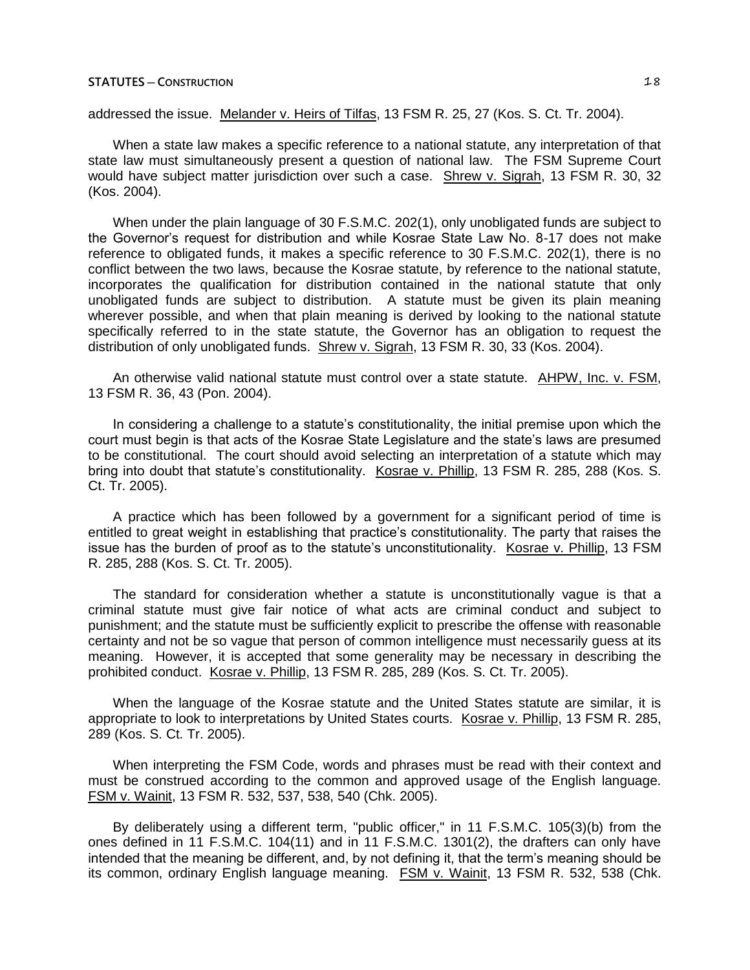addressed the issue. Melander v. Heirs of Tilfas, 13 FSM R. 25, 27 (Kos. S. Ct. Tr. 2004).

When a state law makes a specific reference to a national statute, any interpretation of that state law must simultaneously present a question of national law. The FSM Supreme Court would have subject matter jurisdiction over such a case. Shrew v. Sigrah, 13 FSM R. 30, 32 (Kos. 2004).

When under the plain language of 30 F.S.M.C. 202(1), only unobligated funds are subject to the Governor's request for distribution and while Kosrae State Law No. 8-17 does not make reference to obligated funds, it makes a specific reference to 30 F.S.M.C. 202(1), there is no conflict between the two laws, because the Kosrae statute, by reference to the national statute, incorporates the qualification for distribution contained in the national statute that only unobligated funds are subject to distribution. A statute must be given its plain meaning wherever possible, and when that plain meaning is derived by looking to the national statute specifically referred to in the state statute, the Governor has an obligation to request the distribution of only unobligated funds. Shrew v. Sigrah, 13 FSM R. 30, 33 (Kos. 2004).

An otherwise valid national statute must control over a state statute. AHPW, Inc. v. FSM, 13 FSM R. 36, 43 (Pon. 2004).

In considering a challenge to a statute's constitutionality, the initial premise upon which the court must begin is that acts of the Kosrae State Legislature and the state's laws are presumed to be constitutional. The court should avoid selecting an interpretation of a statute which may bring into doubt that statute's constitutionality. Kosrae v. Phillip, 13 FSM R. 285, 288 (Kos. S. Ct. Tr. 2005).

A practice which has been followed by a government for a significant period of time is entitled to great weight in establishing that practice's constitutionality. The party that raises the issue has the burden of proof as to the statute's unconstitutionality. Kosrae v. Phillip, 13 FSM R. 285, 288 (Kos. S. Ct. Tr. 2005).

The standard for consideration whether a statute is unconstitutionally vague is that a criminal statute must give fair notice of what acts are criminal conduct and subject to punishment; and the statute must be sufficiently explicit to prescribe the offense with reasonable certainty and not be so vague that person of common intelligence must necessarily guess at its meaning. However, it is accepted that some generality may be necessary in describing the prohibited conduct. Kosrae v. Phillip, 13 FSM R. 285, 289 (Kos. S. Ct. Tr. 2005).

When the language of the Kosrae statute and the United States statute are similar, it is appropriate to look to interpretations by United States courts. Kosrae v. Phillip, 13 FSM R. 285, 289 (Kos. S. Ct. Tr. 2005).

When interpreting the FSM Code, words and phrases must be read with their context and must be construed according to the common and approved usage of the English language. FSM v. Wainit, 13 FSM R. 532, 537, 538, 540 (Chk. 2005).

By deliberately using a different term, "public officer," in 11 F.S.M.C. 105(3)(b) from the ones defined in 11 F.S.M.C. 104(11) and in 11 F.S.M.C. 1301(2), the drafters can only have intended that the meaning be different, and, by not defining it, that the term's meaning should be its common, ordinary English language meaning. FSM v. Wainit, 13 FSM R. 532, 538 (Chk.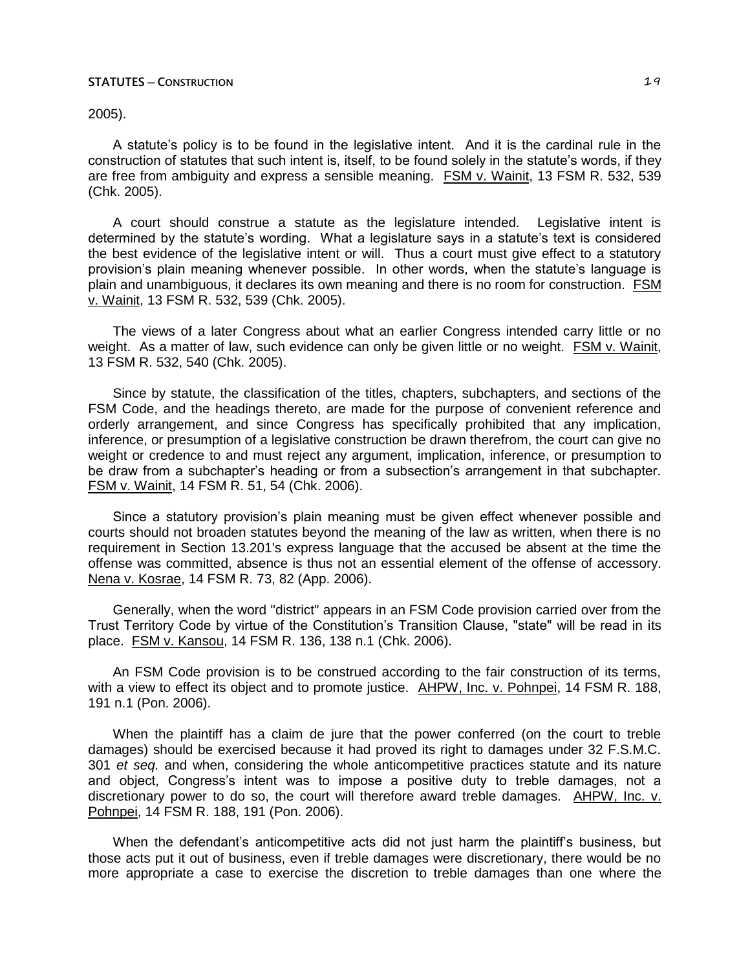2005).

A statute's policy is to be found in the legislative intent. And it is the cardinal rule in the construction of statutes that such intent is, itself, to be found solely in the statute's words, if they are free from ambiguity and express a sensible meaning. FSM v. Wainit, 13 FSM R. 532, 539 (Chk. 2005).

A court should construe a statute as the legislature intended. Legislative intent is determined by the statute's wording. What a legislature says in a statute's text is considered the best evidence of the legislative intent or will. Thus a court must give effect to a statutory provision's plain meaning whenever possible. In other words, when the statute's language is plain and unambiguous, it declares its own meaning and there is no room for construction. FSM v. Wainit, 13 FSM R. 532, 539 (Chk. 2005).

The views of a later Congress about what an earlier Congress intended carry little or no weight. As a matter of law, such evidence can only be given little or no weight. FSM v. Wainit, 13 FSM R. 532, 540 (Chk. 2005).

Since by statute, the classification of the titles, chapters, subchapters, and sections of the FSM Code, and the headings thereto, are made for the purpose of convenient reference and orderly arrangement, and since Congress has specifically prohibited that any implication, inference, or presumption of a legislative construction be drawn therefrom, the court can give no weight or credence to and must reject any argument, implication, inference, or presumption to be draw from a subchapter's heading or from a subsection's arrangement in that subchapter. FSM v. Wainit, 14 FSM R. 51, 54 (Chk. 2006).

Since a statutory provision's plain meaning must be given effect whenever possible and courts should not broaden statutes beyond the meaning of the law as written, when there is no requirement in Section 13.201's express language that the accused be absent at the time the offense was committed, absence is thus not an essential element of the offense of accessory. Nena v. Kosrae, 14 FSM R. 73, 82 (App. 2006).

Generally, when the word "district" appears in an FSM Code provision carried over from the Trust Territory Code by virtue of the Constitution's Transition Clause, "state" will be read in its place. FSM v. Kansou, 14 FSM R. 136, 138 n.1 (Chk. 2006).

An FSM Code provision is to be construed according to the fair construction of its terms, with a view to effect its object and to promote justice. AHPW, Inc. v. Pohnpei, 14 FSM R. 188, 191 n.1 (Pon. 2006).

When the plaintiff has a claim de jure that the power conferred (on the court to treble damages) should be exercised because it had proved its right to damages under 32 F.S.M.C. 301 *et seq.* and when, considering the whole anticompetitive practices statute and its nature and object, Congress's intent was to impose a positive duty to treble damages, not a discretionary power to do so, the court will therefore award treble damages. AHPW, Inc. v. Pohnpei, 14 FSM R. 188, 191 (Pon. 2006).

When the defendant's anticompetitive acts did not just harm the plaintiff's business, but those acts put it out of business, even if treble damages were discretionary, there would be no more appropriate a case to exercise the discretion to treble damages than one where the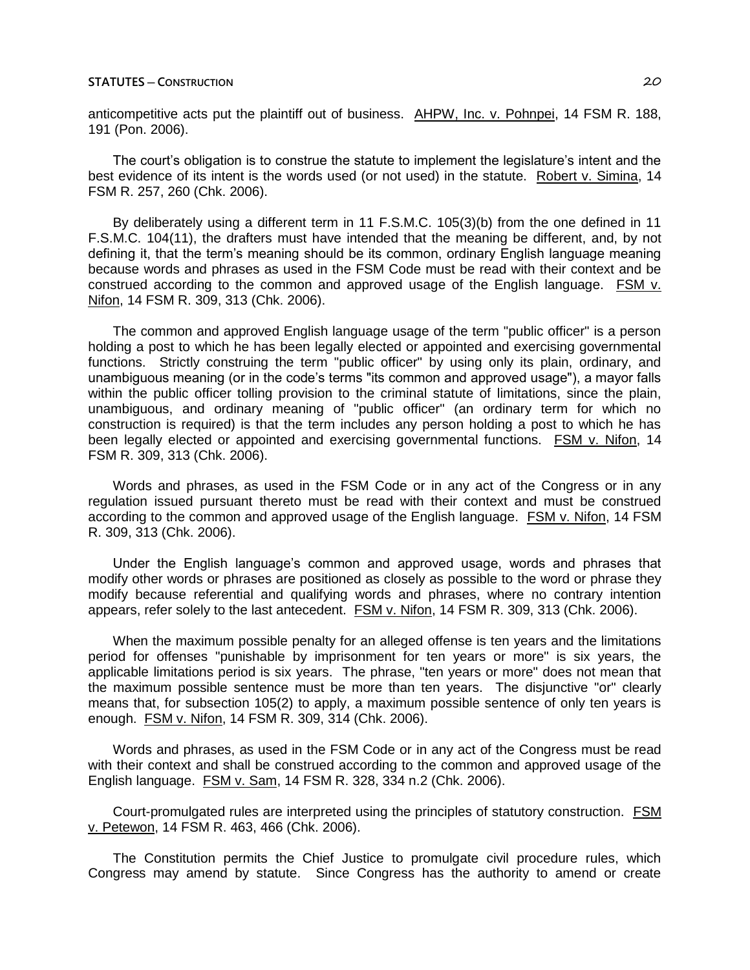anticompetitive acts put the plaintiff out of business. AHPW, Inc. v. Pohnpei, 14 FSM R. 188, 191 (Pon. 2006).

The court's obligation is to construe the statute to implement the legislature's intent and the best evidence of its intent is the words used (or not used) in the statute. Robert v. Simina, 14 FSM R. 257, 260 (Chk. 2006).

By deliberately using a different term in 11 F.S.M.C. 105(3)(b) from the one defined in 11 F.S.M.C. 104(11), the drafters must have intended that the meaning be different, and, by not defining it, that the term's meaning should be its common, ordinary English language meaning because words and phrases as used in the FSM Code must be read with their context and be construed according to the common and approved usage of the English language. FSM v. Nifon, 14 FSM R. 309, 313 (Chk. 2006).

The common and approved English language usage of the term "public officer" is a person holding a post to which he has been legally elected or appointed and exercising governmental functions. Strictly construing the term "public officer" by using only its plain, ordinary, and unambiguous meaning (or in the code's terms "its common and approved usage"), a mayor falls within the public officer tolling provision to the criminal statute of limitations, since the plain, unambiguous, and ordinary meaning of "public officer" (an ordinary term for which no construction is required) is that the term includes any person holding a post to which he has been legally elected or appointed and exercising governmental functions. FSM v. Nifon, 14 FSM R. 309, 313 (Chk. 2006).

Words and phrases, as used in the FSM Code or in any act of the Congress or in any regulation issued pursuant thereto must be read with their context and must be construed according to the common and approved usage of the English language. FSM v. Nifon, 14 FSM R. 309, 313 (Chk. 2006).

Under the English language's common and approved usage, words and phrases that modify other words or phrases are positioned as closely as possible to the word or phrase they modify because referential and qualifying words and phrases, where no contrary intention appears, refer solely to the last antecedent. FSM v. Nifon, 14 FSM R. 309, 313 (Chk. 2006).

When the maximum possible penalty for an alleged offense is ten years and the limitations period for offenses "punishable by imprisonment for ten years or more" is six years, the applicable limitations period is six years. The phrase, "ten years or more" does not mean that the maximum possible sentence must be more than ten years. The disjunctive "or" clearly means that, for subsection 105(2) to apply, a maximum possible sentence of only ten years is enough. FSM v. Nifon, 14 FSM R. 309, 314 (Chk. 2006).

Words and phrases, as used in the FSM Code or in any act of the Congress must be read with their context and shall be construed according to the common and approved usage of the English language. FSM v. Sam, 14 FSM R. 328, 334 n.2 (Chk. 2006).

Court-promulgated rules are interpreted using the principles of statutory construction. FSM v. Petewon, 14 FSM R. 463, 466 (Chk. 2006).

The Constitution permits the Chief Justice to promulgate civil procedure rules, which Congress may amend by statute. Since Congress has the authority to amend or create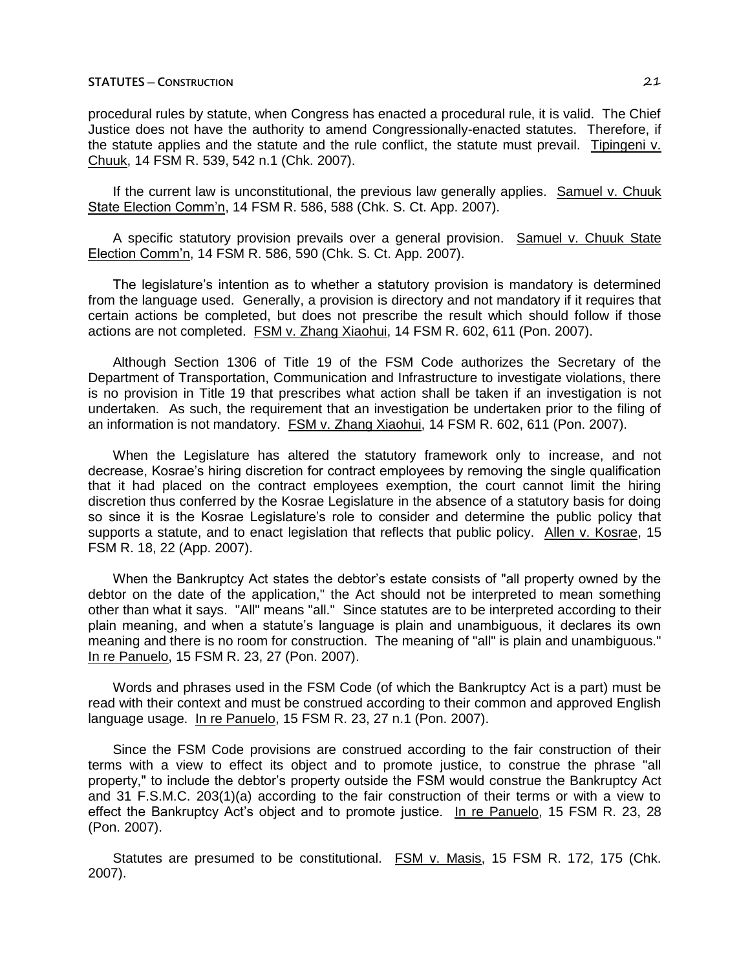procedural rules by statute, when Congress has enacted a procedural rule, it is valid. The Chief Justice does not have the authority to amend Congressionally-enacted statutes. Therefore, if the statute applies and the statute and the rule conflict, the statute must prevail. Tipingeni v. Chuuk, 14 FSM R. 539, 542 n.1 (Chk. 2007).

If the current law is unconstitutional, the previous law generally applies. Samuel v. Chuuk State Election Comm'n, 14 FSM R. 586, 588 (Chk. S. Ct. App. 2007).

A specific statutory provision prevails over a general provision. Samuel v. Chuuk State Election Comm'n, 14 FSM R. 586, 590 (Chk. S. Ct. App. 2007).

The legislature's intention as to whether a statutory provision is mandatory is determined from the language used. Generally, a provision is directory and not mandatory if it requires that certain actions be completed, but does not prescribe the result which should follow if those actions are not completed. FSM v. Zhang Xiaohui, 14 FSM R. 602, 611 (Pon. 2007).

Although Section 1306 of Title 19 of the FSM Code authorizes the Secretary of the Department of Transportation, Communication and Infrastructure to investigate violations, there is no provision in Title 19 that prescribes what action shall be taken if an investigation is not undertaken. As such, the requirement that an investigation be undertaken prior to the filing of an information is not mandatory. FSM v. Zhang Xiaohui, 14 FSM R. 602, 611 (Pon. 2007).

When the Legislature has altered the statutory framework only to increase, and not decrease, Kosrae's hiring discretion for contract employees by removing the single qualification that it had placed on the contract employees exemption, the court cannot limit the hiring discretion thus conferred by the Kosrae Legislature in the absence of a statutory basis for doing so since it is the Kosrae Legislature's role to consider and determine the public policy that supports a statute, and to enact legislation that reflects that public policy. Allen v. Kosrae, 15 FSM R. 18, 22 (App. 2007).

When the Bankruptcy Act states the debtor's estate consists of "all property owned by the debtor on the date of the application," the Act should not be interpreted to mean something other than what it says. "All" means "all." Since statutes are to be interpreted according to their plain meaning, and when a statute's language is plain and unambiguous, it declares its own meaning and there is no room for construction. The meaning of "all" is plain and unambiguous." In re Panuelo, 15 FSM R. 23, 27 (Pon. 2007).

Words and phrases used in the FSM Code (of which the Bankruptcy Act is a part) must be read with their context and must be construed according to their common and approved English language usage. In re Panuelo, 15 FSM R. 23, 27 n.1 (Pon. 2007).

Since the FSM Code provisions are construed according to the fair construction of their terms with a view to effect its object and to promote justice, to construe the phrase "all property," to include the debtor's property outside the FSM would construe the Bankruptcy Act and 31 F.S.M.C. 203(1)(a) according to the fair construction of their terms or with a view to effect the Bankruptcy Act's object and to promote justice. In re Panuelo, 15 FSM R. 23, 28 (Pon. 2007).

Statutes are presumed to be constitutional. FSM v. Masis, 15 FSM R. 172, 175 (Chk. 2007).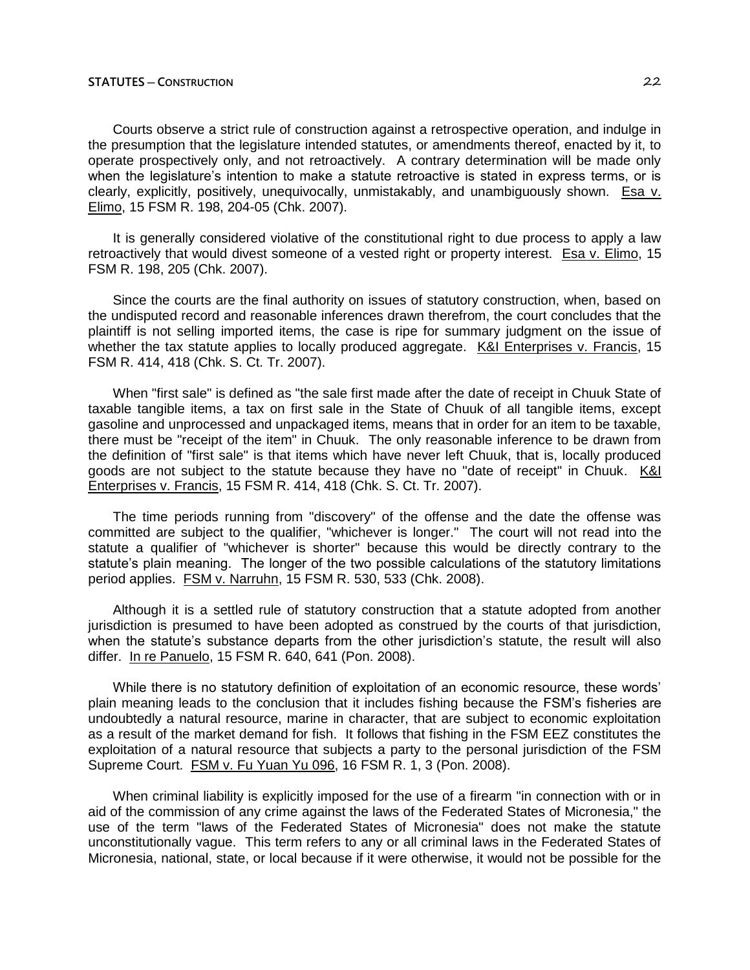Courts observe a strict rule of construction against a retrospective operation, and indulge in the presumption that the legislature intended statutes, or amendments thereof, enacted by it, to operate prospectively only, and not retroactively. A contrary determination will be made only when the legislature's intention to make a statute retroactive is stated in express terms, or is clearly, explicitly, positively, unequivocally, unmistakably, and unambiguously shown. Esa v. Elimo, 15 FSM R. 198, 204-05 (Chk. 2007).

It is generally considered violative of the constitutional right to due process to apply a law retroactively that would divest someone of a vested right or property interest. Esa v. Elimo, 15 FSM R. 198, 205 (Chk. 2007).

Since the courts are the final authority on issues of statutory construction, when, based on the undisputed record and reasonable inferences drawn therefrom, the court concludes that the plaintiff is not selling imported items, the case is ripe for summary judgment on the issue of whether the tax statute applies to locally produced aggregate. K&I Enterprises v. Francis, 15 FSM R. 414, 418 (Chk. S. Ct. Tr. 2007).

When "first sale" is defined as "the sale first made after the date of receipt in Chuuk State of taxable tangible items, a tax on first sale in the State of Chuuk of all tangible items, except gasoline and unprocessed and unpackaged items, means that in order for an item to be taxable, there must be "receipt of the item" in Chuuk. The only reasonable inference to be drawn from the definition of "first sale" is that items which have never left Chuuk, that is, locally produced goods are not subject to the statute because they have no "date of receipt" in Chuuk. K&I Enterprises v. Francis, 15 FSM R. 414, 418 (Chk. S. Ct. Tr. 2007).

The time periods running from "discovery" of the offense and the date the offense was committed are subject to the qualifier, "whichever is longer." The court will not read into the statute a qualifier of "whichever is shorter" because this would be directly contrary to the statute's plain meaning. The longer of the two possible calculations of the statutory limitations period applies. FSM v. Narruhn, 15 FSM R. 530, 533 (Chk. 2008).

Although it is a settled rule of statutory construction that a statute adopted from another jurisdiction is presumed to have been adopted as construed by the courts of that jurisdiction, when the statute's substance departs from the other jurisdiction's statute, the result will also differ. In re Panuelo, 15 FSM R. 640, 641 (Pon. 2008).

While there is no statutory definition of exploitation of an economic resource, these words' plain meaning leads to the conclusion that it includes fishing because the FSM's fisheries are undoubtedly a natural resource, marine in character, that are subject to economic exploitation as a result of the market demand for fish. It follows that fishing in the FSM EEZ constitutes the exploitation of a natural resource that subjects a party to the personal jurisdiction of the FSM Supreme Court. FSM v. Fu Yuan Yu 096, 16 FSM R. 1, 3 (Pon. 2008).

When criminal liability is explicitly imposed for the use of a firearm "in connection with or in aid of the commission of any crime against the laws of the Federated States of Micronesia," the use of the term "laws of the Federated States of Micronesia" does not make the statute unconstitutionally vague. This term refers to any or all criminal laws in the Federated States of Micronesia, national, state, or local because if it were otherwise, it would not be possible for the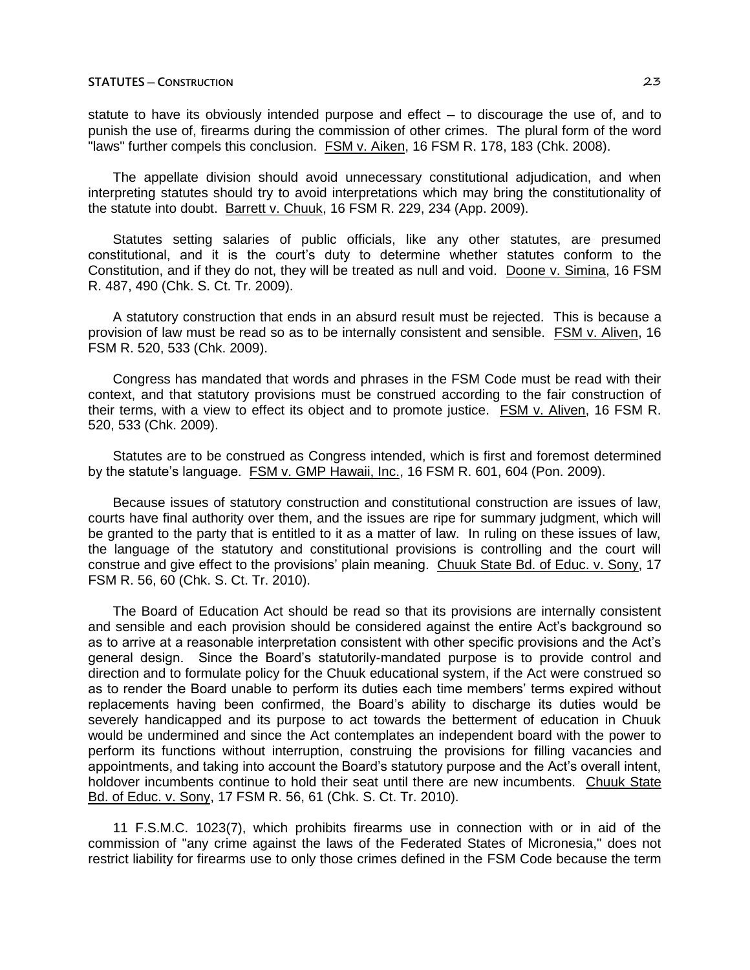statute to have its obviously intended purpose and effect  $-$  to discourage the use of, and to punish the use of, firearms during the commission of other crimes. The plural form of the word "laws" further compels this conclusion. FSM v. Aiken, 16 FSM R. 178, 183 (Chk. 2008).

The appellate division should avoid unnecessary constitutional adjudication, and when interpreting statutes should try to avoid interpretations which may bring the constitutionality of the statute into doubt. Barrett v. Chuuk, 16 FSM R. 229, 234 (App. 2009).

Statutes setting salaries of public officials, like any other statutes, are presumed constitutional, and it is the court's duty to determine whether statutes conform to the Constitution, and if they do not, they will be treated as null and void. Doone v. Simina, 16 FSM R. 487, 490 (Chk. S. Ct. Tr. 2009).

A statutory construction that ends in an absurd result must be rejected. This is because a provision of law must be read so as to be internally consistent and sensible. FSM v. Aliven, 16 FSM R. 520, 533 (Chk. 2009).

Congress has mandated that words and phrases in the FSM Code must be read with their context, and that statutory provisions must be construed according to the fair construction of their terms, with a view to effect its object and to promote justice. FSM v. Aliven, 16 FSM R. 520, 533 (Chk. 2009).

Statutes are to be construed as Congress intended, which is first and foremost determined by the statute's language. FSM v. GMP Hawaii, Inc., 16 FSM R. 601, 604 (Pon. 2009).

Because issues of statutory construction and constitutional construction are issues of law, courts have final authority over them, and the issues are ripe for summary judgment, which will be granted to the party that is entitled to it as a matter of law. In ruling on these issues of law, the language of the statutory and constitutional provisions is controlling and the court will construe and give effect to the provisions' plain meaning. Chuuk State Bd. of Educ. v. Sony, 17 FSM R. 56, 60 (Chk. S. Ct. Tr. 2010).

The Board of Education Act should be read so that its provisions are internally consistent and sensible and each provision should be considered against the entire Act's background so as to arrive at a reasonable interpretation consistent with other specific provisions and the Act's general design. Since the Board's statutorily-mandated purpose is to provide control and direction and to formulate policy for the Chuuk educational system, if the Act were construed so as to render the Board unable to perform its duties each time members' terms expired without replacements having been confirmed, the Board's ability to discharge its duties would be severely handicapped and its purpose to act towards the betterment of education in Chuuk would be undermined and since the Act contemplates an independent board with the power to perform its functions without interruption, construing the provisions for filling vacancies and appointments, and taking into account the Board's statutory purpose and the Act's overall intent, holdover incumbents continue to hold their seat until there are new incumbents. Chuuk State Bd. of Educ. v. Sony, 17 FSM R. 56, 61 (Chk. S. Ct. Tr. 2010).

11 F.S.M.C. 1023(7), which prohibits firearms use in connection with or in aid of the commission of "any crime against the laws of the Federated States of Micronesia," does not restrict liability for firearms use to only those crimes defined in the FSM Code because the term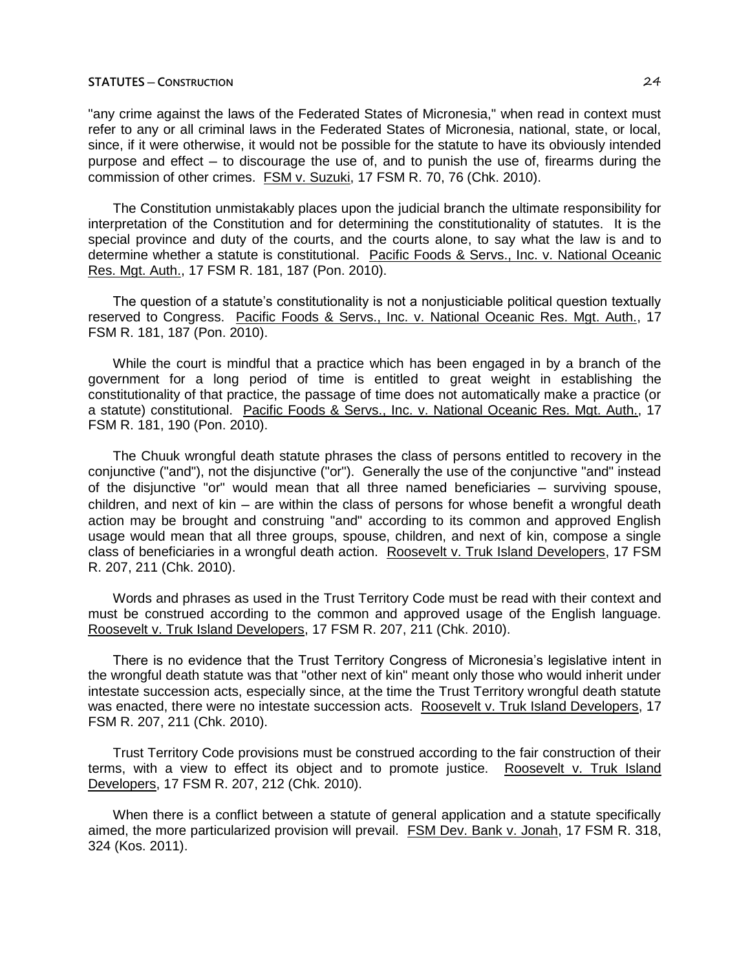"any crime against the laws of the Federated States of Micronesia," when read in context must refer to any or all criminal laws in the Federated States of Micronesia, national, state, or local, since, if it were otherwise, it would not be possible for the statute to have its obviously intended purpose and effect  $-$  to discourage the use of, and to punish the use of, firearms during the commission of other crimes. FSM v. Suzuki, 17 FSM R. 70, 76 (Chk. 2010).

The Constitution unmistakably places upon the judicial branch the ultimate responsibility for interpretation of the Constitution and for determining the constitutionality of statutes. It is the special province and duty of the courts, and the courts alone, to say what the law is and to determine whether a statute is constitutional. Pacific Foods & Servs., Inc. v. National Oceanic Res. Mgt. Auth., 17 FSM R. 181, 187 (Pon. 2010).

The question of a statute's constitutionality is not a nonjusticiable political question textually reserved to Congress. Pacific Foods & Servs., Inc. v. National Oceanic Res. Mgt. Auth., 17 FSM R. 181, 187 (Pon. 2010).

While the court is mindful that a practice which has been engaged in by a branch of the government for a long period of time is entitled to great weight in establishing the constitutionality of that practice, the passage of time does not automatically make a practice (or a statute) constitutional. Pacific Foods & Servs., Inc. v. National Oceanic Res. Mgt. Auth., 17 FSM R. 181, 190 (Pon. 2010).

The Chuuk wrongful death statute phrases the class of persons entitled to recovery in the conjunctive ("and"), not the disjunctive ("or"). Generally the use of the conjunctive "and" instead of the disjunctive "or" would mean that all three named beneficiaries  $-$  surviving spouse, children, and next of kin — are within the class of persons for whose benefit a wrongful death action may be brought and construing "and" according to its common and approved English usage would mean that all three groups, spouse, children, and next of kin, compose a single class of beneficiaries in a wrongful death action. Roosevelt v. Truk Island Developers, 17 FSM R. 207, 211 (Chk. 2010).

Words and phrases as used in the Trust Territory Code must be read with their context and must be construed according to the common and approved usage of the English language. Roosevelt v. Truk Island Developers, 17 FSM R. 207, 211 (Chk. 2010).

There is no evidence that the Trust Territory Congress of Micronesia's legislative intent in the wrongful death statute was that "other next of kin" meant only those who would inherit under intestate succession acts, especially since, at the time the Trust Territory wrongful death statute was enacted, there were no intestate succession acts. Roosevelt v. Truk Island Developers, 17 FSM R. 207, 211 (Chk. 2010).

Trust Territory Code provisions must be construed according to the fair construction of their terms, with a view to effect its object and to promote justice. Roosevelt v. Truk Island Developers, 17 FSM R. 207, 212 (Chk. 2010).

When there is a conflict between a statute of general application and a statute specifically aimed, the more particularized provision will prevail. FSM Dev. Bank v. Jonah, 17 FSM R. 318, 324 (Kos. 2011).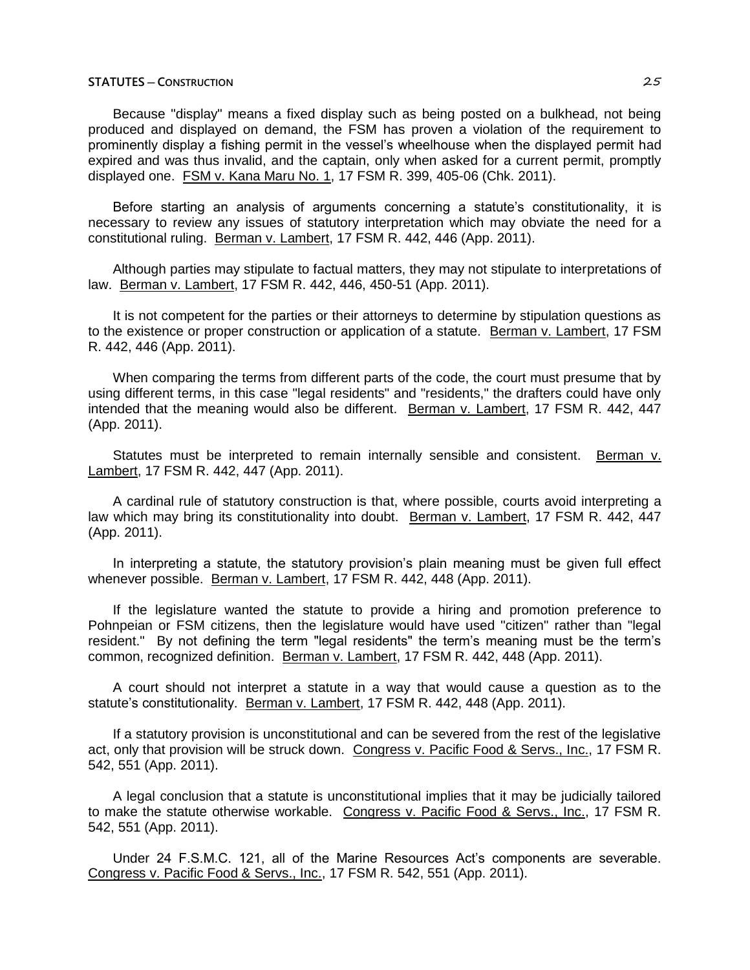Because "display" means a fixed display such as being posted on a bulkhead, not being produced and displayed on demand, the FSM has proven a violation of the requirement to prominently display a fishing permit in the vessel's wheelhouse when the displayed permit had expired and was thus invalid, and the captain, only when asked for a current permit, promptly displayed one. FSM v. Kana Maru No. 1, 17 FSM R. 399, 405-06 (Chk. 2011).

Before starting an analysis of arguments concerning a statute's constitutionality, it is necessary to review any issues of statutory interpretation which may obviate the need for a constitutional ruling. Berman v. Lambert, 17 FSM R. 442, 446 (App. 2011).

Although parties may stipulate to factual matters, they may not stipulate to interpretations of law. Berman v. Lambert, 17 FSM R. 442, 446, 450-51 (App. 2011).

It is not competent for the parties or their attorneys to determine by stipulation questions as to the existence or proper construction or application of a statute. Berman v. Lambert, 17 FSM R. 442, 446 (App. 2011).

When comparing the terms from different parts of the code, the court must presume that by using different terms, in this case "legal residents" and "residents," the drafters could have only intended that the meaning would also be different. Berman v. Lambert, 17 FSM R. 442, 447 (App. 2011).

Statutes must be interpreted to remain internally sensible and consistent. Berman v. Lambert, 17 FSM R. 442, 447 (App. 2011).

A cardinal rule of statutory construction is that, where possible, courts avoid interpreting a law which may bring its constitutionality into doubt. Berman v. Lambert, 17 FSM R. 442, 447 (App. 2011).

In interpreting a statute, the statutory provision's plain meaning must be given full effect whenever possible. Berman v. Lambert, 17 FSM R. 442, 448 (App. 2011).

If the legislature wanted the statute to provide a hiring and promotion preference to Pohnpeian or FSM citizens, then the legislature would have used "citizen" rather than "legal resident." By not defining the term "legal residents" the term's meaning must be the term's common, recognized definition. Berman v. Lambert, 17 FSM R. 442, 448 (App. 2011).

A court should not interpret a statute in a way that would cause a question as to the statute's constitutionality. Berman v. Lambert, 17 FSM R. 442, 448 (App. 2011).

If a statutory provision is unconstitutional and can be severed from the rest of the legislative act, only that provision will be struck down. Congress v. Pacific Food & Servs., Inc., 17 FSM R. 542, 551 (App. 2011).

A legal conclusion that a statute is unconstitutional implies that it may be judicially tailored to make the statute otherwise workable. Congress v. Pacific Food & Servs., Inc., 17 FSM R. 542, 551 (App. 2011).

Under 24 F.S.M.C. 121, all of the Marine Resources Act's components are severable. Congress v. Pacific Food & Servs., Inc., 17 FSM R. 542, 551 (App. 2011).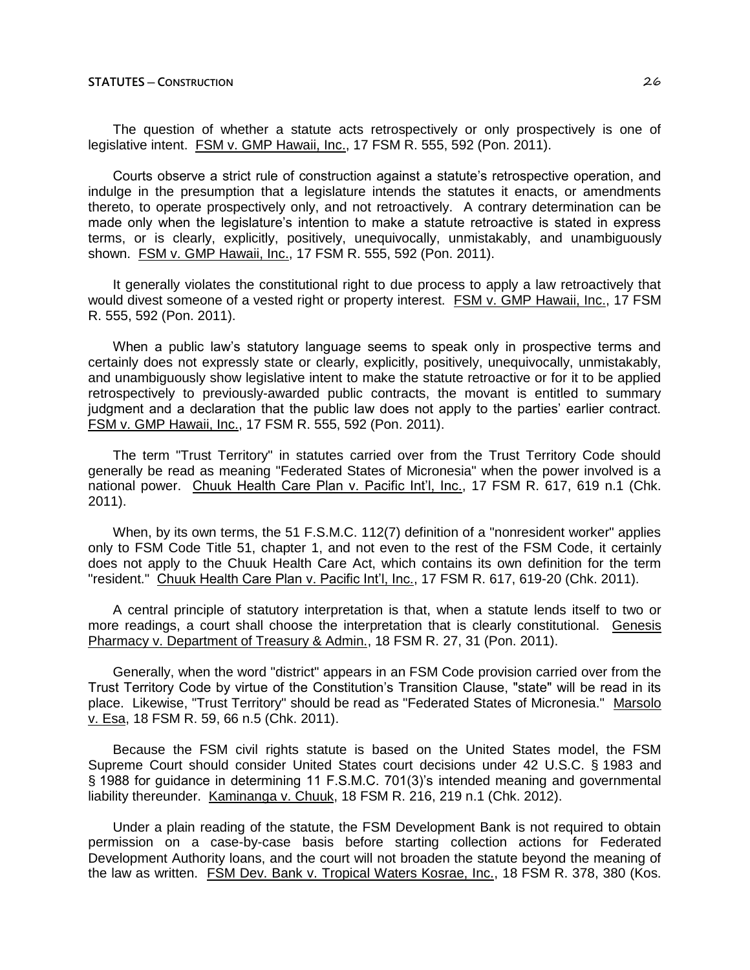The question of whether a statute acts retrospectively or only prospectively is one of legislative intent. FSM v. GMP Hawaii, Inc., 17 FSM R. 555, 592 (Pon. 2011).

Courts observe a strict rule of construction against a statute's retrospective operation, and indulge in the presumption that a legislature intends the statutes it enacts, or amendments thereto, to operate prospectively only, and not retroactively. A contrary determination can be made only when the legislature's intention to make a statute retroactive is stated in express terms, or is clearly, explicitly, positively, unequivocally, unmistakably, and unambiguously shown. FSM v. GMP Hawaii, Inc., 17 FSM R. 555, 592 (Pon. 2011).

It generally violates the constitutional right to due process to apply a law retroactively that would divest someone of a vested right or property interest. FSM v. GMP Hawaii, Inc., 17 FSM R. 555, 592 (Pon. 2011).

When a public law's statutory language seems to speak only in prospective terms and certainly does not expressly state or clearly, explicitly, positively, unequivocally, unmistakably, and unambiguously show legislative intent to make the statute retroactive or for it to be applied retrospectively to previously-awarded public contracts, the movant is entitled to summary judgment and a declaration that the public law does not apply to the parties' earlier contract. FSM v. GMP Hawaii, Inc., 17 FSM R. 555, 592 (Pon. 2011).

The term "Trust Territory" in statutes carried over from the Trust Territory Code should generally be read as meaning "Federated States of Micronesia" when the power involved is a national power. Chuuk Health Care Plan v. Pacific Int'l, Inc., 17 FSM R. 617, 619 n.1 (Chk. 2011).

When, by its own terms, the 51 F.S.M.C. 112(7) definition of a "nonresident worker" applies only to FSM Code Title 51, chapter 1, and not even to the rest of the FSM Code, it certainly does not apply to the Chuuk Health Care Act, which contains its own definition for the term "resident." Chuuk Health Care Plan v. Pacific Int'l, Inc., 17 FSM R. 617, 619-20 (Chk. 2011).

A central principle of statutory interpretation is that, when a statute lends itself to two or more readings, a court shall choose the interpretation that is clearly constitutional. Genesis Pharmacy v. Department of Treasury & Admin., 18 FSM R. 27, 31 (Pon. 2011).

Generally, when the word "district" appears in an FSM Code provision carried over from the Trust Territory Code by virtue of the Constitution's Transition Clause, "state" will be read in its place. Likewise, "Trust Territory" should be read as "Federated States of Micronesia." Marsolo v. Esa, 18 FSM R. 59, 66 n.5 (Chk. 2011).

Because the FSM civil rights statute is based on the United States model, the FSM Supreme Court should consider United States court decisions under 42 U.S.C. § 1983 and § 1988 for guidance in determining 11 F.S.M.C. 701(3)'s intended meaning and governmental liability thereunder. Kaminanga v. Chuuk, 18 FSM R. 216, 219 n.1 (Chk. 2012).

Under a plain reading of the statute, the FSM Development Bank is not required to obtain permission on a case-by-case basis before starting collection actions for Federated Development Authority loans, and the court will not broaden the statute beyond the meaning of the law as written. FSM Dev. Bank v. Tropical Waters Kosrae, Inc., 18 FSM R. 378, 380 (Kos.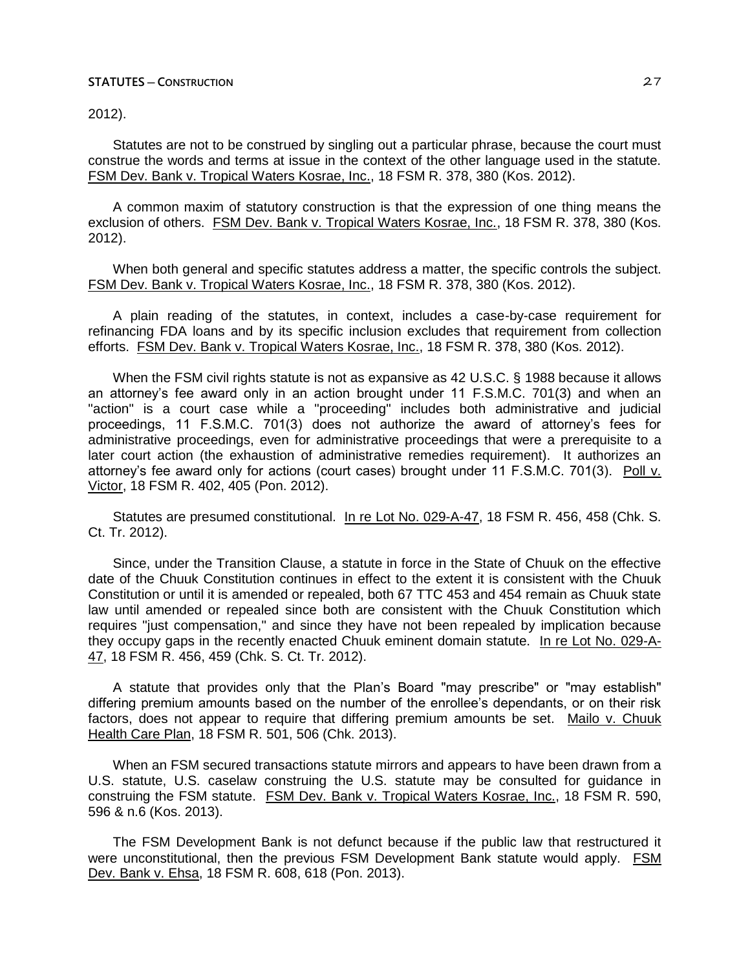2012).

Statutes are not to be construed by singling out a particular phrase, because the court must construe the words and terms at issue in the context of the other language used in the statute. FSM Dev. Bank v. Tropical Waters Kosrae, Inc., 18 FSM R. 378, 380 (Kos. 2012).

A common maxim of statutory construction is that the expression of one thing means the exclusion of others. FSM Dev. Bank v. Tropical Waters Kosrae, Inc., 18 FSM R. 378, 380 (Kos. 2012).

When both general and specific statutes address a matter, the specific controls the subject. FSM Dev. Bank v. Tropical Waters Kosrae, Inc., 18 FSM R. 378, 380 (Kos. 2012).

A plain reading of the statutes, in context, includes a case-by-case requirement for refinancing FDA loans and by its specific inclusion excludes that requirement from collection efforts. FSM Dev. Bank v. Tropical Waters Kosrae, Inc., 18 FSM R. 378, 380 (Kos. 2012).

When the FSM civil rights statute is not as expansive as 42 U.S.C. § 1988 because it allows an attorney's fee award only in an action brought under 11 F.S.M.C. 701(3) and when an "action" is a court case while a "proceeding" includes both administrative and judicial proceedings, 11 F.S.M.C. 701(3) does not authorize the award of attorney's fees for administrative proceedings, even for administrative proceedings that were a prerequisite to a later court action (the exhaustion of administrative remedies requirement). It authorizes an attorney's fee award only for actions (court cases) brought under 11 F.S.M.C. 701(3). Poll v. Victor, 18 FSM R. 402, 405 (Pon. 2012).

Statutes are presumed constitutional. In re Lot No. 029-A-47, 18 FSM R. 456, 458 (Chk. S. Ct. Tr. 2012).

Since, under the Transition Clause, a statute in force in the State of Chuuk on the effective date of the Chuuk Constitution continues in effect to the extent it is consistent with the Chuuk Constitution or until it is amended or repealed, both 67 TTC 453 and 454 remain as Chuuk state law until amended or repealed since both are consistent with the Chuuk Constitution which requires "just compensation," and since they have not been repealed by implication because they occupy gaps in the recently enacted Chuuk eminent domain statute. In re Lot No. 029-A-47, 18 FSM R. 456, 459 (Chk. S. Ct. Tr. 2012).

A statute that provides only that the Plan's Board "may prescribe" or "may establish" differing premium amounts based on the number of the enrollee's dependants, or on their risk factors, does not appear to require that differing premium amounts be set. Mailo v. Chuuk Health Care Plan, 18 FSM R. 501, 506 (Chk. 2013).

When an FSM secured transactions statute mirrors and appears to have been drawn from a U.S. statute, U.S. caselaw construing the U.S. statute may be consulted for guidance in construing the FSM statute. FSM Dev. Bank v. Tropical Waters Kosrae, Inc., 18 FSM R. 590, 596 & n.6 (Kos. 2013).

The FSM Development Bank is not defunct because if the public law that restructured it were unconstitutional, then the previous FSM Development Bank statute would apply. FSM Dev. Bank v. Ehsa, 18 FSM R. 608, 618 (Pon. 2013).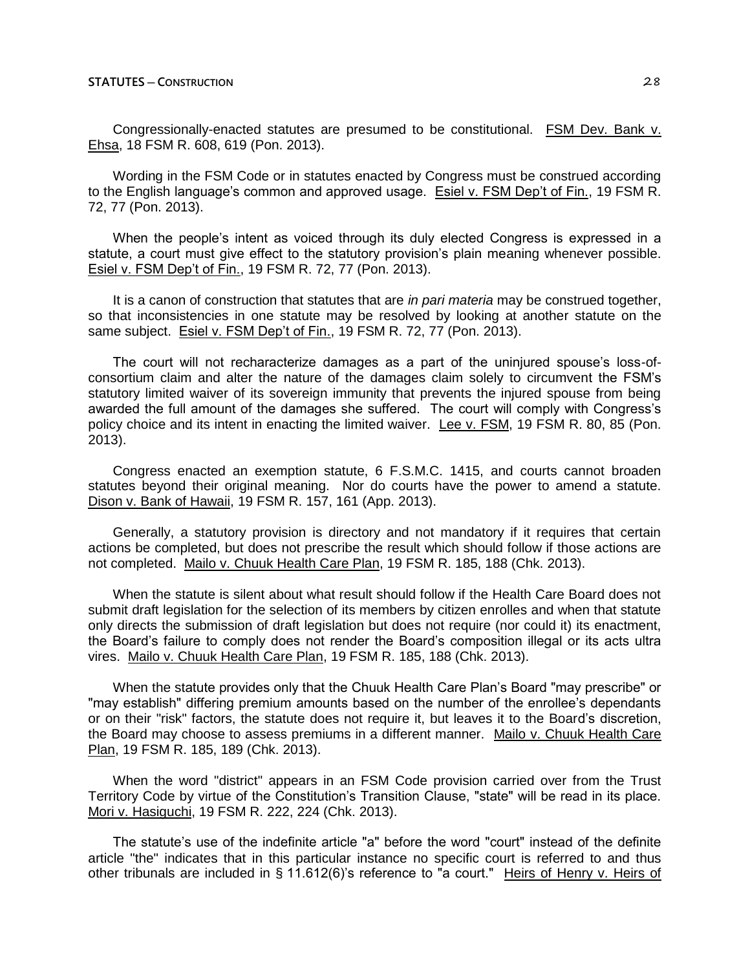Congressionally-enacted statutes are presumed to be constitutional. FSM Dev. Bank v. Ehsa, 18 FSM R. 608, 619 (Pon. 2013).

Wording in the FSM Code or in statutes enacted by Congress must be construed according to the English language's common and approved usage. Esiel v. FSM Dep't of Fin., 19 FSM R. 72, 77 (Pon. 2013).

When the people's intent as voiced through its duly elected Congress is expressed in a statute, a court must give effect to the statutory provision's plain meaning whenever possible. Esiel v. FSM Dep't of Fin., 19 FSM R. 72, 77 (Pon. 2013).

It is a canon of construction that statutes that are *in pari materia* may be construed together, so that inconsistencies in one statute may be resolved by looking at another statute on the same subject. Esiel v. FSM Dep't of Fin., 19 FSM R. 72, 77 (Pon. 2013).

The court will not recharacterize damages as a part of the uninjured spouse's loss-ofconsortium claim and alter the nature of the damages claim solely to circumvent the FSM's statutory limited waiver of its sovereign immunity that prevents the injured spouse from being awarded the full amount of the damages she suffered. The court will comply with Congress's policy choice and its intent in enacting the limited waiver. Lee v. FSM, 19 FSM R. 80, 85 (Pon. 2013).

Congress enacted an exemption statute, 6 F.S.M.C. 1415, and courts cannot broaden statutes beyond their original meaning. Nor do courts have the power to amend a statute. Dison v. Bank of Hawaii, 19 FSM R. 157, 161 (App. 2013).

Generally, a statutory provision is directory and not mandatory if it requires that certain actions be completed, but does not prescribe the result which should follow if those actions are not completed. Mailo v. Chuuk Health Care Plan, 19 FSM R. 185, 188 (Chk. 2013).

When the statute is silent about what result should follow if the Health Care Board does not submit draft legislation for the selection of its members by citizen enrolles and when that statute only directs the submission of draft legislation but does not require (nor could it) its enactment, the Board's failure to comply does not render the Board's composition illegal or its acts ultra vires. Mailo v. Chuuk Health Care Plan, 19 FSM R. 185, 188 (Chk. 2013).

When the statute provides only that the Chuuk Health Care Plan's Board "may prescribe" or "may establish" differing premium amounts based on the number of the enrollee's dependants or on their "risk" factors, the statute does not require it, but leaves it to the Board's discretion, the Board may choose to assess premiums in a different manner. Mailo v. Chuuk Health Care Plan, 19 FSM R. 185, 189 (Chk. 2013).

When the word "district" appears in an FSM Code provision carried over from the Trust Territory Code by virtue of the Constitution's Transition Clause, "state" will be read in its place. Mori v. Hasiguchi, 19 FSM R. 222, 224 (Chk. 2013).

The statute's use of the indefinite article "a" before the word "court" instead of the definite article "the" indicates that in this particular instance no specific court is referred to and thus other tribunals are included in § 11.612(6)'s reference to "a court." Heirs of Henry v. Heirs of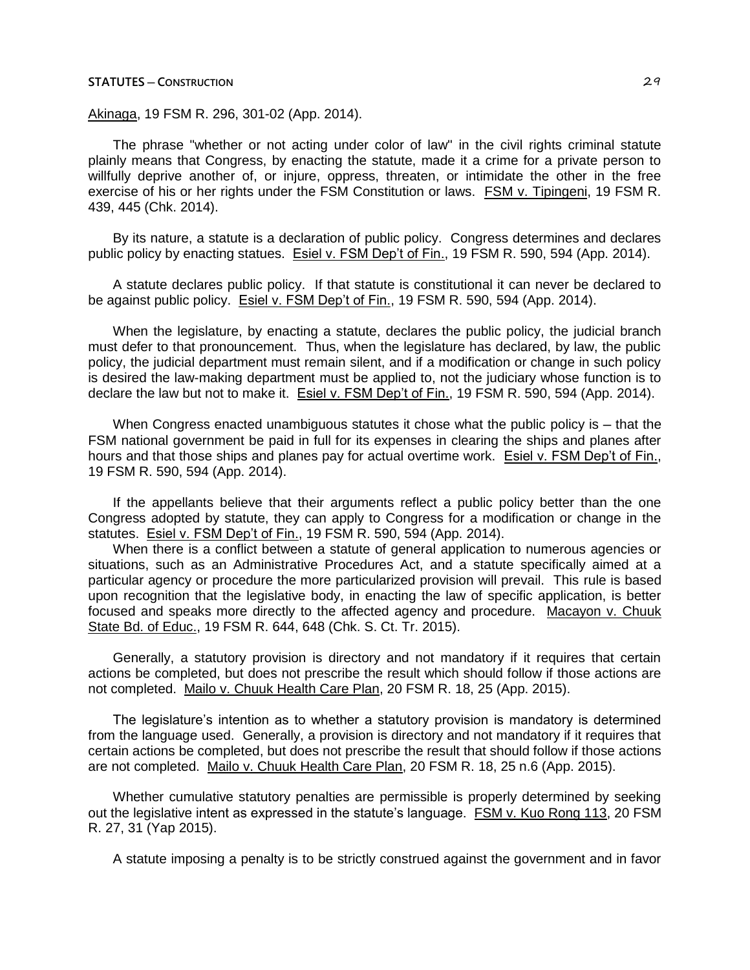Akinaga, 19 FSM R. 296, 301-02 (App. 2014).

The phrase "whether or not acting under color of law" in the civil rights criminal statute plainly means that Congress, by enacting the statute, made it a crime for a private person to willfully deprive another of, or injure, oppress, threaten, or intimidate the other in the free exercise of his or her rights under the FSM Constitution or laws. FSM v. Tipingeni, 19 FSM R. 439, 445 (Chk. 2014).

By its nature, a statute is a declaration of public policy. Congress determines and declares public policy by enacting statues. Esiel v. FSM Dep't of Fin., 19 FSM R. 590, 594 (App. 2014).

A statute declares public policy. If that statute is constitutional it can never be declared to be against public policy. Esiel v. FSM Dep't of Fin., 19 FSM R. 590, 594 (App. 2014).

When the legislature, by enacting a statute, declares the public policy, the judicial branch must defer to that pronouncement. Thus, when the legislature has declared, by law, the public policy, the judicial department must remain silent, and if a modification or change in such policy is desired the law-making department must be applied to, not the judiciary whose function is to declare the law but not to make it. Esiel v. FSM Dep't of Fin., 19 FSM R. 590, 594 (App. 2014).

When Congress enacted unambiguous statutes it chose what the public policy is  $-$  that the FSM national government be paid in full for its expenses in clearing the ships and planes after hours and that those ships and planes pay for actual overtime work. Esiel v. FSM Dep't of Fin., 19 FSM R. 590, 594 (App. 2014).

If the appellants believe that their arguments reflect a public policy better than the one Congress adopted by statute, they can apply to Congress for a modification or change in the statutes. Esiel v. FSM Dep't of Fin., 19 FSM R. 590, 594 (App. 2014).

When there is a conflict between a statute of general application to numerous agencies or situations, such as an Administrative Procedures Act, and a statute specifically aimed at a particular agency or procedure the more particularized provision will prevail. This rule is based upon recognition that the legislative body, in enacting the law of specific application, is better focused and speaks more directly to the affected agency and procedure. Macayon v. Chuuk State Bd. of Educ., 19 FSM R. 644, 648 (Chk. S. Ct. Tr. 2015).

Generally, a statutory provision is directory and not mandatory if it requires that certain actions be completed, but does not prescribe the result which should follow if those actions are not completed. Mailo v. Chuuk Health Care Plan, 20 FSM R. 18, 25 (App. 2015).

The legislature's intention as to whether a statutory provision is mandatory is determined from the language used. Generally, a provision is directory and not mandatory if it requires that certain actions be completed, but does not prescribe the result that should follow if those actions are not completed. Mailo v. Chuuk Health Care Plan, 20 FSM R. 18, 25 n.6 (App. 2015).

Whether cumulative statutory penalties are permissible is properly determined by seeking out the legislative intent as expressed in the statute's language. FSM v. Kuo Rong 113, 20 FSM R. 27, 31 (Yap 2015).

A statute imposing a penalty is to be strictly construed against the government and in favor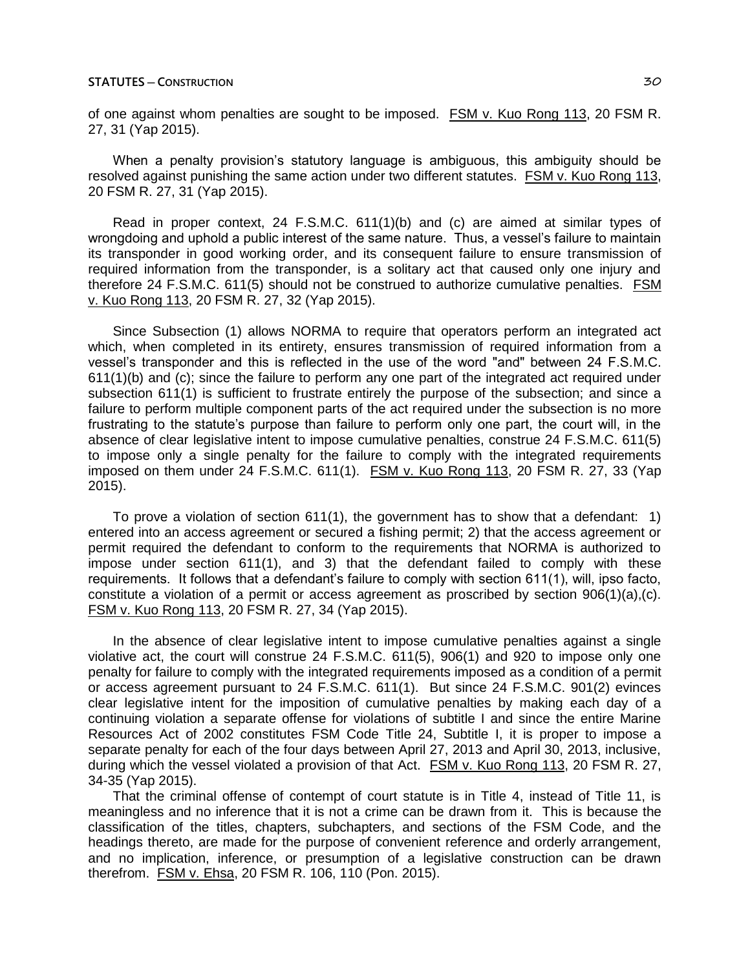of one against whom penalties are sought to be imposed. FSM v. Kuo Rong 113, 20 FSM R. 27, 31 (Yap 2015).

When a penalty provision's statutory language is ambiguous, this ambiguity should be resolved against punishing the same action under two different statutes. FSM v. Kuo Rong 113, 20 FSM R. 27, 31 (Yap 2015).

Read in proper context, 24 F.S.M.C. 611(1)(b) and (c) are aimed at similar types of wrongdoing and uphold a public interest of the same nature. Thus, a vessel's failure to maintain its transponder in good working order, and its consequent failure to ensure transmission of required information from the transponder, is a solitary act that caused only one injury and therefore 24 F.S.M.C. 611(5) should not be construed to authorize cumulative penalties. FSM v. Kuo Rong 113, 20 FSM R. 27, 32 (Yap 2015).

Since Subsection (1) allows NORMA to require that operators perform an integrated act which, when completed in its entirety, ensures transmission of required information from a vessel's transponder and this is reflected in the use of the word "and" between 24 F.S.M.C. 611(1)(b) and (c); since the failure to perform any one part of the integrated act required under subsection 611(1) is sufficient to frustrate entirely the purpose of the subsection; and since a failure to perform multiple component parts of the act required under the subsection is no more frustrating to the statute's purpose than failure to perform only one part, the court will, in the absence of clear legislative intent to impose cumulative penalties, construe 24 F.S.M.C. 611(5) to impose only a single penalty for the failure to comply with the integrated requirements imposed on them under 24 F.S.M.C. 611(1). FSM v. Kuo Rong 113, 20 FSM R. 27, 33 (Yap 2015).

To prove a violation of section 611(1), the government has to show that a defendant: 1) entered into an access agreement or secured a fishing permit; 2) that the access agreement or permit required the defendant to conform to the requirements that NORMA is authorized to impose under section 611(1), and 3) that the defendant failed to comply with these requirements. It follows that a defendant's failure to comply with section 611(1), will, ipso facto, constitute a violation of a permit or access agreement as proscribed by section 906(1)(a),(c). FSM v. Kuo Rong 113, 20 FSM R. 27, 34 (Yap 2015).

In the absence of clear legislative intent to impose cumulative penalties against a single violative act, the court will construe 24 F.S.M.C. 611(5), 906(1) and 920 to impose only one penalty for failure to comply with the integrated requirements imposed as a condition of a permit or access agreement pursuant to 24 F.S.M.C. 611(1). But since 24 F.S.M.C. 901(2) evinces clear legislative intent for the imposition of cumulative penalties by making each day of a continuing violation a separate offense for violations of subtitle I and since the entire Marine Resources Act of 2002 constitutes FSM Code Title 24, Subtitle I, it is proper to impose a separate penalty for each of the four days between April 27, 2013 and April 30, 2013, inclusive, during which the vessel violated a provision of that Act. FSM v. Kuo Rong 113, 20 FSM R. 27, 34-35 (Yap 2015).

That the criminal offense of contempt of court statute is in Title 4, instead of Title 11, is meaningless and no inference that it is not a crime can be drawn from it. This is because the classification of the titles, chapters, subchapters, and sections of the FSM Code, and the headings thereto, are made for the purpose of convenient reference and orderly arrangement, and no implication, inference, or presumption of a legislative construction can be drawn therefrom. FSM v. Ehsa, 20 FSM R. 106, 110 (Pon. 2015).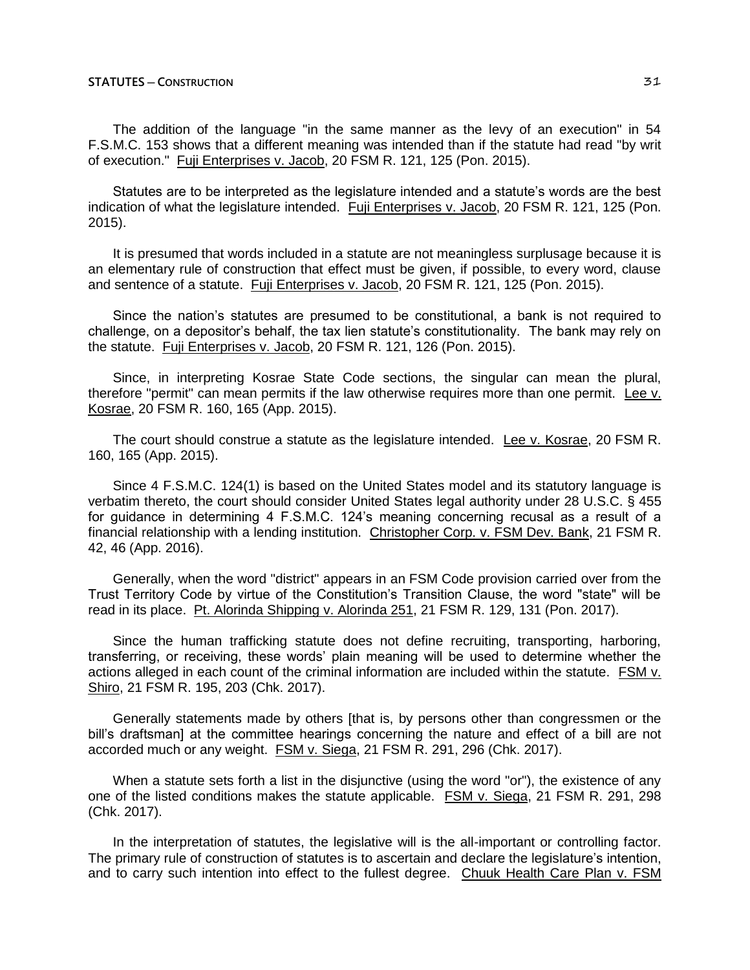The addition of the language "in the same manner as the levy of an execution" in 54 F.S.M.C. 153 shows that a different meaning was intended than if the statute had read "by writ of execution." Fuji Enterprises v. Jacob, 20 FSM R. 121, 125 (Pon. 2015).

Statutes are to be interpreted as the legislature intended and a statute's words are the best indication of what the legislature intended. Fuji Enterprises v. Jacob, 20 FSM R. 121, 125 (Pon. 2015).

It is presumed that words included in a statute are not meaningless surplusage because it is an elementary rule of construction that effect must be given, if possible, to every word, clause and sentence of a statute. Fuji Enterprises v. Jacob, 20 FSM R. 121, 125 (Pon. 2015).

Since the nation's statutes are presumed to be constitutional, a bank is not required to challenge, on a depositor's behalf, the tax lien statute's constitutionality. The bank may rely on the statute. Fuji Enterprises v. Jacob, 20 FSM R. 121, 126 (Pon. 2015).

Since, in interpreting Kosrae State Code sections, the singular can mean the plural, therefore "permit" can mean permits if the law otherwise requires more than one permit. Lee v. Kosrae, 20 FSM R. 160, 165 (App. 2015).

The court should construe a statute as the legislature intended. Lee v. Kosrae, 20 FSM R. 160, 165 (App. 2015).

Since 4 F.S.M.C. 124(1) is based on the United States model and its statutory language is verbatim thereto, the court should consider United States legal authority under 28 U.S.C. § 455 for guidance in determining 4 F.S.M.C. 124's meaning concerning recusal as a result of a financial relationship with a lending institution. Christopher Corp. v. FSM Dev. Bank, 21 FSM R. 42, 46 (App. 2016).

Generally, when the word "district" appears in an FSM Code provision carried over from the Trust Territory Code by virtue of the Constitution's Transition Clause, the word "state" will be read in its place. Pt. Alorinda Shipping v. Alorinda 251, 21 FSM R. 129, 131 (Pon. 2017).

Since the human trafficking statute does not define recruiting, transporting, harboring, transferring, or receiving, these words' plain meaning will be used to determine whether the actions alleged in each count of the criminal information are included within the statute. FSM v. Shiro, 21 FSM R. 195, 203 (Chk. 2017).

Generally statements made by others [that is, by persons other than congressmen or the bill's draftsman] at the committee hearings concerning the nature and effect of a bill are not accorded much or any weight. FSM v. Siega, 21 FSM R. 291, 296 (Chk. 2017).

When a statute sets forth a list in the disjunctive (using the word "or"), the existence of any one of the listed conditions makes the statute applicable. FSM v. Siega, 21 FSM R. 291, 298 (Chk. 2017).

In the interpretation of statutes, the legislative will is the all-important or controlling factor. The primary rule of construction of statutes is to ascertain and declare the legislature's intention, and to carry such intention into effect to the fullest degree. Chuuk Health Care Plan v. FSM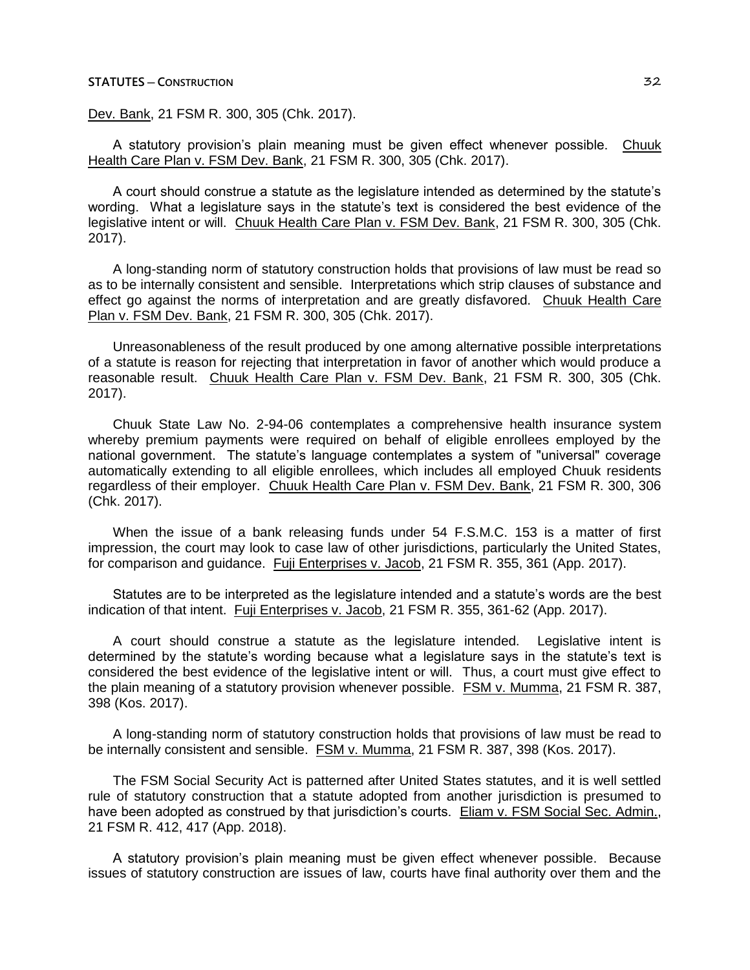Dev. Bank, 21 FSM R. 300, 305 (Chk. 2017).

A statutory provision's plain meaning must be given effect whenever possible. Chuuk Health Care Plan v. FSM Dev. Bank, 21 FSM R. 300, 305 (Chk. 2017).

A court should construe a statute as the legislature intended as determined by the statute's wording. What a legislature says in the statute's text is considered the best evidence of the legislative intent or will. Chuuk Health Care Plan v. FSM Dev. Bank, 21 FSM R. 300, 305 (Chk. 2017).

A long-standing norm of statutory construction holds that provisions of law must be read so as to be internally consistent and sensible. Interpretations which strip clauses of substance and effect go against the norms of interpretation and are greatly disfavored. Chuuk Health Care Plan v. FSM Dev. Bank, 21 FSM R. 300, 305 (Chk. 2017).

Unreasonableness of the result produced by one among alternative possible interpretations of a statute is reason for rejecting that interpretation in favor of another which would produce a reasonable result. Chuuk Health Care Plan v. FSM Dev. Bank, 21 FSM R. 300, 305 (Chk. 2017).

Chuuk State Law No. 2-94-06 contemplates a comprehensive health insurance system whereby premium payments were required on behalf of eligible enrollees employed by the national government. The statute's language contemplates a system of "universal" coverage automatically extending to all eligible enrollees, which includes all employed Chuuk residents regardless of their employer. Chuuk Health Care Plan v. FSM Dev. Bank, 21 FSM R. 300, 306 (Chk. 2017).

When the issue of a bank releasing funds under 54 F.S.M.C. 153 is a matter of first impression, the court may look to case law of other jurisdictions, particularly the United States, for comparison and guidance. Fuji Enterprises v. Jacob, 21 FSM R. 355, 361 (App. 2017).

Statutes are to be interpreted as the legislature intended and a statute's words are the best indication of that intent. Fuji Enterprises v. Jacob, 21 FSM R. 355, 361-62 (App. 2017).

A court should construe a statute as the legislature intended. Legislative intent is determined by the statute's wording because what a legislature says in the statute's text is considered the best evidence of the legislative intent or will. Thus, a court must give effect to the plain meaning of a statutory provision whenever possible. FSM v. Mumma, 21 FSM R. 387, 398 (Kos. 2017).

A long-standing norm of statutory construction holds that provisions of law must be read to be internally consistent and sensible. FSM v. Mumma, 21 FSM R. 387, 398 (Kos. 2017).

The FSM Social Security Act is patterned after United States statutes, and it is well settled rule of statutory construction that a statute adopted from another jurisdiction is presumed to have been adopted as construed by that jurisdiction's courts. Eliam v. FSM Social Sec. Admin., 21 FSM R. 412, 417 (App. 2018).

A statutory provision's plain meaning must be given effect whenever possible. Because issues of statutory construction are issues of law, courts have final authority over them and the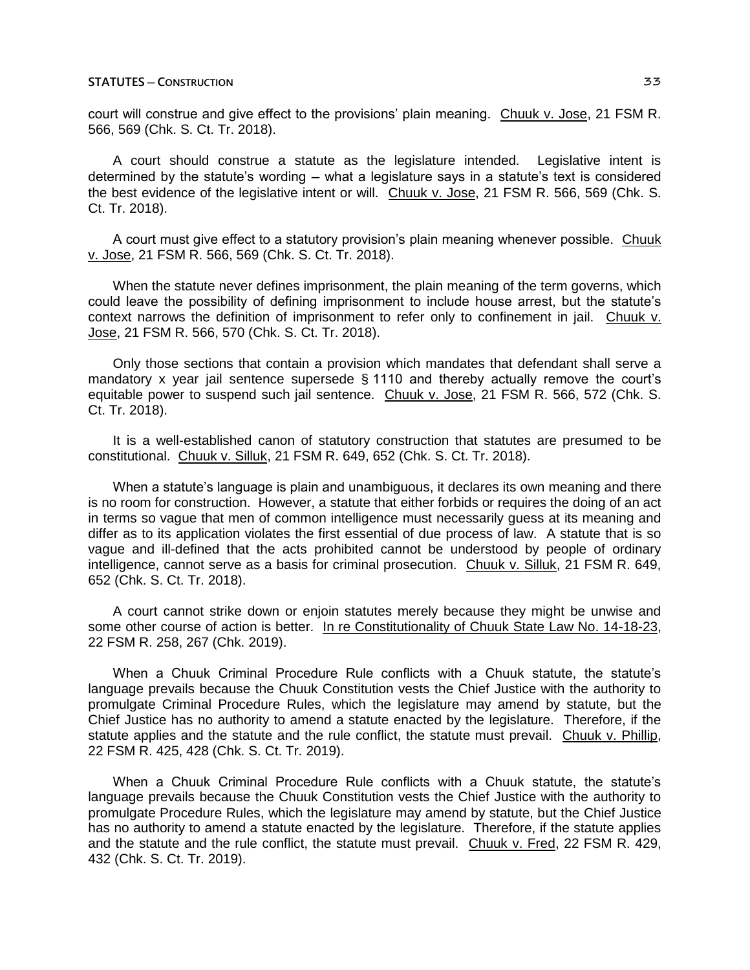court will construe and give effect to the provisions' plain meaning. Chuuk v. Jose, 21 FSM R. 566, 569 (Chk. S. Ct. Tr. 2018).

A court should construe a statute as the legislature intended. Legislative intent is determined by the statute's wording ─ what a legislature says in a statute's text is considered the best evidence of the legislative intent or will. Chuuk v. Jose, 21 FSM R. 566, 569 (Chk. S. Ct. Tr. 2018).

A court must give effect to a statutory provision's plain meaning whenever possible. Chuuk v. Jose, 21 FSM R. 566, 569 (Chk. S. Ct. Tr. 2018).

When the statute never defines imprisonment, the plain meaning of the term governs, which could leave the possibility of defining imprisonment to include house arrest, but the statute's context narrows the definition of imprisonment to refer only to confinement in jail. Chuuk v. Jose, 21 FSM R. 566, 570 (Chk. S. Ct. Tr. 2018).

Only those sections that contain a provision which mandates that defendant shall serve a mandatory x year jail sentence supersede § 1110 and thereby actually remove the court's equitable power to suspend such jail sentence. Chuuk v. Jose, 21 FSM R. 566, 572 (Chk. S. Ct. Tr. 2018).

It is a well-established canon of statutory construction that statutes are presumed to be constitutional. Chuuk v. Silluk, 21 FSM R. 649, 652 (Chk. S. Ct. Tr. 2018).

When a statute's language is plain and unambiguous, it declares its own meaning and there is no room for construction. However, a statute that either forbids or requires the doing of an act in terms so vague that men of common intelligence must necessarily guess at its meaning and differ as to its application violates the first essential of due process of law. A statute that is so vague and ill-defined that the acts prohibited cannot be understood by people of ordinary intelligence, cannot serve as a basis for criminal prosecution. Chuuk v. Silluk, 21 FSM R. 649, 652 (Chk. S. Ct. Tr. 2018).

A court cannot strike down or enjoin statutes merely because they might be unwise and some other course of action is better. In re Constitutionality of Chuuk State Law No. 14-18-23, 22 FSM R. 258, 267 (Chk. 2019).

When a Chuuk Criminal Procedure Rule conflicts with a Chuuk statute, the statute's language prevails because the Chuuk Constitution vests the Chief Justice with the authority to promulgate Criminal Procedure Rules, which the legislature may amend by statute, but the Chief Justice has no authority to amend a statute enacted by the legislature. Therefore, if the statute applies and the statute and the rule conflict, the statute must prevail. Chuuk v. Phillip, 22 FSM R. 425, 428 (Chk. S. Ct. Tr. 2019).

When a Chuuk Criminal Procedure Rule conflicts with a Chuuk statute, the statute's language prevails because the Chuuk Constitution vests the Chief Justice with the authority to promulgate Procedure Rules, which the legislature may amend by statute, but the Chief Justice has no authority to amend a statute enacted by the legislature. Therefore, if the statute applies and the statute and the rule conflict, the statute must prevail. Chuuk v. Fred, 22 FSM R. 429, 432 (Chk. S. Ct. Tr. 2019).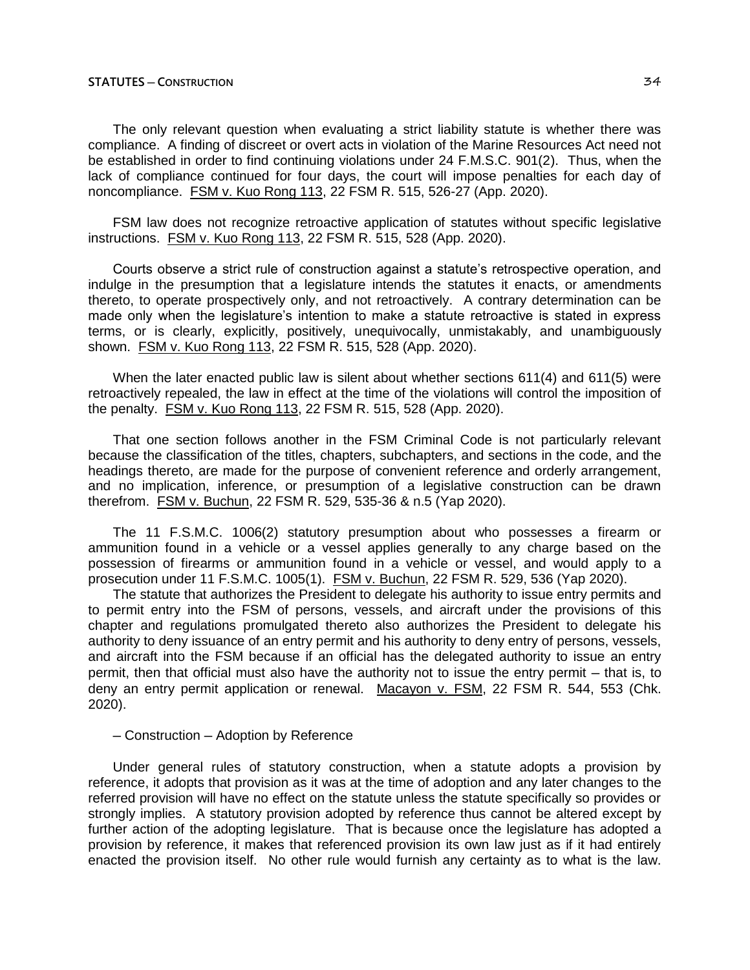The only relevant question when evaluating a strict liability statute is whether there was compliance. A finding of discreet or overt acts in violation of the Marine Resources Act need not be established in order to find continuing violations under 24 F.M.S.C. 901(2). Thus, when the lack of compliance continued for four days, the court will impose penalties for each day of noncompliance. FSM v. Kuo Rong 113, 22 FSM R. 515, 526-27 (App. 2020).

FSM law does not recognize retroactive application of statutes without specific legislative instructions. FSM v. Kuo Rong 113, 22 FSM R. 515, 528 (App. 2020).

Courts observe a strict rule of construction against a statute's retrospective operation, and indulge in the presumption that a legislature intends the statutes it enacts, or amendments thereto, to operate prospectively only, and not retroactively. A contrary determination can be made only when the legislature's intention to make a statute retroactive is stated in express terms, or is clearly, explicitly, positively, unequivocally, unmistakably, and unambiguously shown. FSM v. Kuo Rong 113, 22 FSM R. 515, 528 (App. 2020).

When the later enacted public law is silent about whether sections 611(4) and 611(5) were retroactively repealed, the law in effect at the time of the violations will control the imposition of the penalty. FSM v. Kuo Rong 113, 22 FSM R. 515, 528 (App. 2020).

That one section follows another in the FSM Criminal Code is not particularly relevant because the classification of the titles, chapters, subchapters, and sections in the code, and the headings thereto, are made for the purpose of convenient reference and orderly arrangement, and no implication, inference, or presumption of a legislative construction can be drawn therefrom. FSM v. Buchun, 22 FSM R. 529, 535-36 & n.5 (Yap 2020).

The 11 F.S.M.C. 1006(2) statutory presumption about who possesses a firearm or ammunition found in a vehicle or a vessel applies generally to any charge based on the possession of firearms or ammunition found in a vehicle or vessel, and would apply to a prosecution under 11 F.S.M.C. 1005(1). FSM v. Buchun, 22 FSM R. 529, 536 (Yap 2020).

The statute that authorizes the President to delegate his authority to issue entry permits and to permit entry into the FSM of persons, vessels, and aircraft under the provisions of this chapter and regulations promulgated thereto also authorizes the President to delegate his authority to deny issuance of an entry permit and his authority to deny entry of persons, vessels, and aircraft into the FSM because if an official has the delegated authority to issue an entry permit, then that official must also have the authority not to issue the entry permit — that is, to deny an entry permit application or renewal. Macayon v. FSM, 22 FSM R. 544, 553 (Chk. 2020).

#### ─ Construction ─ Adoption by Reference

Under general rules of statutory construction, when a statute adopts a provision by reference, it adopts that provision as it was at the time of adoption and any later changes to the referred provision will have no effect on the statute unless the statute specifically so provides or strongly implies. A statutory provision adopted by reference thus cannot be altered except by further action of the adopting legislature. That is because once the legislature has adopted a provision by reference, it makes that referenced provision its own law just as if it had entirely enacted the provision itself. No other rule would furnish any certainty as to what is the law.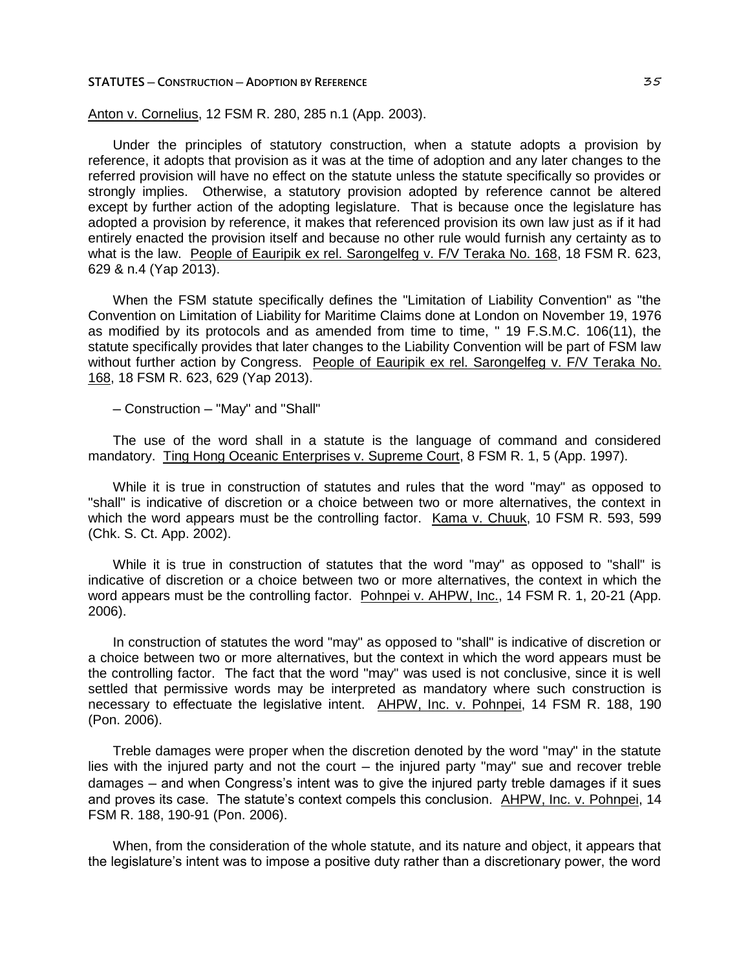#### **STATUTES ─ CONSTRUCTION ─ ADOPTION BY REFERENCE** 35

Anton v. Cornelius, 12 FSM R. 280, 285 n.1 (App. 2003).

Under the principles of statutory construction, when a statute adopts a provision by reference, it adopts that provision as it was at the time of adoption and any later changes to the referred provision will have no effect on the statute unless the statute specifically so provides or strongly implies. Otherwise, a statutory provision adopted by reference cannot be altered except by further action of the adopting legislature. That is because once the legislature has adopted a provision by reference, it makes that referenced provision its own law just as if it had entirely enacted the provision itself and because no other rule would furnish any certainty as to what is the law. People of Eauripik ex rel. Sarongelfeg v. F/V Teraka No. 168, 18 FSM R. 623, 629 & n.4 (Yap 2013).

When the FSM statute specifically defines the "Limitation of Liability Convention" as "the Convention on Limitation of Liability for Maritime Claims done at London on November 19, 1976 as modified by its protocols and as amended from time to time, " 19 F.S.M.C. 106(11), the statute specifically provides that later changes to the Liability Convention will be part of FSM law without further action by Congress. People of Eauripik ex rel. Sarongelfeg v. F/V Teraka No. 168, 18 FSM R. 623, 629 (Yap 2013).

─ Construction ─ "May" and "Shall"

The use of the word shall in a statute is the language of command and considered mandatory. Ting Hong Oceanic Enterprises v. Supreme Court, 8 FSM R. 1, 5 (App. 1997).

While it is true in construction of statutes and rules that the word "may" as opposed to "shall" is indicative of discretion or a choice between two or more alternatives, the context in which the word appears must be the controlling factor. Kama v. Chuuk, 10 FSM R. 593, 599 (Chk. S. Ct. App. 2002).

While it is true in construction of statutes that the word "may" as opposed to "shall" is indicative of discretion or a choice between two or more alternatives, the context in which the word appears must be the controlling factor. Pohnpei v. AHPW, Inc., 14 FSM R. 1, 20-21 (App. 2006).

In construction of statutes the word "may" as opposed to "shall" is indicative of discretion or a choice between two or more alternatives, but the context in which the word appears must be the controlling factor. The fact that the word "may" was used is not conclusive, since it is well settled that permissive words may be interpreted as mandatory where such construction is necessary to effectuate the legislative intent. AHPW, Inc. v. Pohnpei, 14 FSM R. 188, 190 (Pon. 2006).

Treble damages were proper when the discretion denoted by the word "may" in the statute lies with the injured party and not the court – the injured party "may" sue and recover treble damages ─ and when Congress's intent was to give the injured party treble damages if it sues and proves its case. The statute's context compels this conclusion. AHPW, Inc. v. Pohnpei, 14 FSM R. 188, 190-91 (Pon. 2006).

When, from the consideration of the whole statute, and its nature and object, it appears that the legislature's intent was to impose a positive duty rather than a discretionary power, the word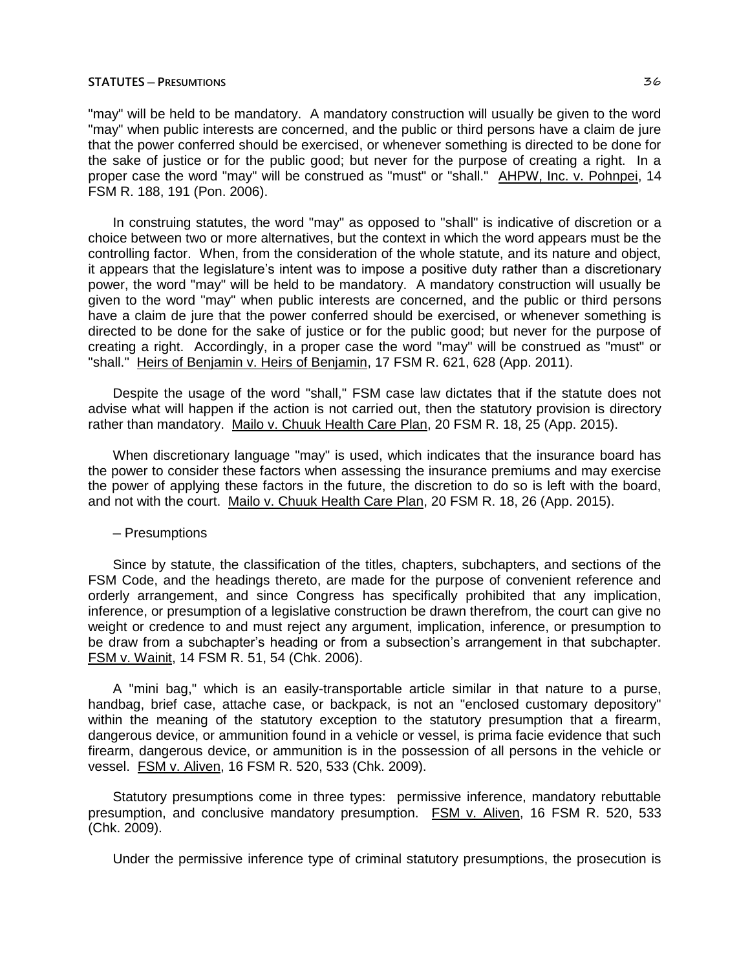#### **STATUTES ─ PRESUMTIONS** 36

"may" will be held to be mandatory. A mandatory construction will usually be given to the word "may" when public interests are concerned, and the public or third persons have a claim de jure that the power conferred should be exercised, or whenever something is directed to be done for the sake of justice or for the public good; but never for the purpose of creating a right. In a proper case the word "may" will be construed as "must" or "shall." AHPW, Inc. v. Pohnpei, 14 FSM R. 188, 191 (Pon. 2006).

In construing statutes, the word "may" as opposed to "shall" is indicative of discretion or a choice between two or more alternatives, but the context in which the word appears must be the controlling factor. When, from the consideration of the whole statute, and its nature and object, it appears that the legislature's intent was to impose a positive duty rather than a discretionary power, the word "may" will be held to be mandatory. A mandatory construction will usually be given to the word "may" when public interests are concerned, and the public or third persons have a claim de jure that the power conferred should be exercised, or whenever something is directed to be done for the sake of justice or for the public good; but never for the purpose of creating a right. Accordingly, in a proper case the word "may" will be construed as "must" or "shall." Heirs of Benjamin v. Heirs of Benjamin, 17 FSM R. 621, 628 (App. 2011).

Despite the usage of the word "shall," FSM case law dictates that if the statute does not advise what will happen if the action is not carried out, then the statutory provision is directory rather than mandatory. Mailo v. Chuuk Health Care Plan, 20 FSM R. 18, 25 (App. 2015).

When discretionary language "may" is used, which indicates that the insurance board has the power to consider these factors when assessing the insurance premiums and may exercise the power of applying these factors in the future, the discretion to do so is left with the board, and not with the court. Mailo v. Chuuk Health Care Plan, 20 FSM R. 18, 26 (App. 2015).

#### ─ Presumptions

Since by statute, the classification of the titles, chapters, subchapters, and sections of the FSM Code, and the headings thereto, are made for the purpose of convenient reference and orderly arrangement, and since Congress has specifically prohibited that any implication, inference, or presumption of a legislative construction be drawn therefrom, the court can give no weight or credence to and must reject any argument, implication, inference, or presumption to be draw from a subchapter's heading or from a subsection's arrangement in that subchapter. FSM v. Wainit, 14 FSM R. 51, 54 (Chk. 2006).

A "mini bag," which is an easily-transportable article similar in that nature to a purse, handbag, brief case, attache case, or backpack, is not an "enclosed customary depository" within the meaning of the statutory exception to the statutory presumption that a firearm, dangerous device, or ammunition found in a vehicle or vessel, is prima facie evidence that such firearm, dangerous device, or ammunition is in the possession of all persons in the vehicle or vessel. FSM v. Aliven, 16 FSM R. 520, 533 (Chk. 2009).

Statutory presumptions come in three types: permissive inference, mandatory rebuttable presumption, and conclusive mandatory presumption. FSM v. Aliven, 16 FSM R. 520, 533 (Chk. 2009).

Under the permissive inference type of criminal statutory presumptions, the prosecution is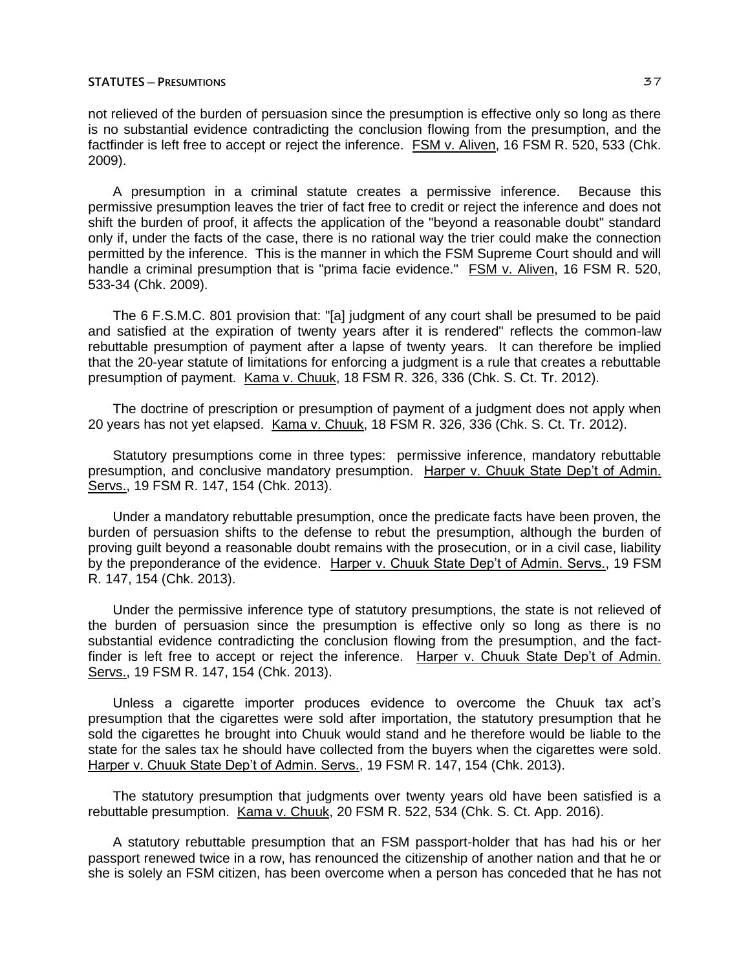not relieved of the burden of persuasion since the presumption is effective only so long as there is no substantial evidence contradicting the conclusion flowing from the presumption, and the factfinder is left free to accept or reject the inference. FSM v. Aliven, 16 FSM R, 520, 533 (Chk. 2009).

A presumption in a criminal statute creates a permissive inference. Because this permissive presumption leaves the trier of fact free to credit or reject the inference and does not shift the burden of proof, it affects the application of the "beyond a reasonable doubt" standard only if, under the facts of the case, there is no rational way the trier could make the connection permitted by the inference. This is the manner in which the FSM Supreme Court should and will handle a criminal presumption that is "prima facie evidence." FSM v. Aliven, 16 FSM R. 520, 533-34 (Chk. 2009).

The 6 F.S.M.C. 801 provision that: "[a] judgment of any court shall be presumed to be paid and satisfied at the expiration of twenty years after it is rendered" reflects the common-law rebuttable presumption of payment after a lapse of twenty years. It can therefore be implied that the 20-year statute of limitations for enforcing a judgment is a rule that creates a rebuttable presumption of payment. Kama v. Chuuk, 18 FSM R. 326, 336 (Chk. S. Ct. Tr. 2012).

The doctrine of prescription or presumption of payment of a judgment does not apply when 20 years has not yet elapsed. Kama v. Chuuk, 18 FSM R. 326, 336 (Chk. S. Ct. Tr. 2012).

Statutory presumptions come in three types: permissive inference, mandatory rebuttable presumption, and conclusive mandatory presumption. Harper v. Chuuk State Dep't of Admin. Servs., 19 FSM R. 147, 154 (Chk. 2013).

Under a mandatory rebuttable presumption, once the predicate facts have been proven, the burden of persuasion shifts to the defense to rebut the presumption, although the burden of proving guilt beyond a reasonable doubt remains with the prosecution, or in a civil case, liability by the preponderance of the evidence. Harper v. Chuuk State Dep't of Admin. Servs., 19 FSM R. 147, 154 (Chk. 2013).

Under the permissive inference type of statutory presumptions, the state is not relieved of the burden of persuasion since the presumption is effective only so long as there is no substantial evidence contradicting the conclusion flowing from the presumption, and the factfinder is left free to accept or reject the inference. Harper v. Chuuk State Dep't of Admin. Servs., 19 FSM R. 147, 154 (Chk. 2013).

Unless a cigarette importer produces evidence to overcome the Chuuk tax act's presumption that the cigarettes were sold after importation, the statutory presumption that he sold the cigarettes he brought into Chuuk would stand and he therefore would be liable to the state for the sales tax he should have collected from the buyers when the cigarettes were sold. Harper v. Chuuk State Dep't of Admin. Servs., 19 FSM R. 147, 154 (Chk. 2013).

The statutory presumption that judgments over twenty years old have been satisfied is a rebuttable presumption. Kama v. Chuuk, 20 FSM R. 522, 534 (Chk. S. Ct. App. 2016).

A statutory rebuttable presumption that an FSM passport-holder that has had his or her passport renewed twice in a row, has renounced the citizenship of another nation and that he or she is solely an FSM citizen, has been overcome when a person has conceded that he has not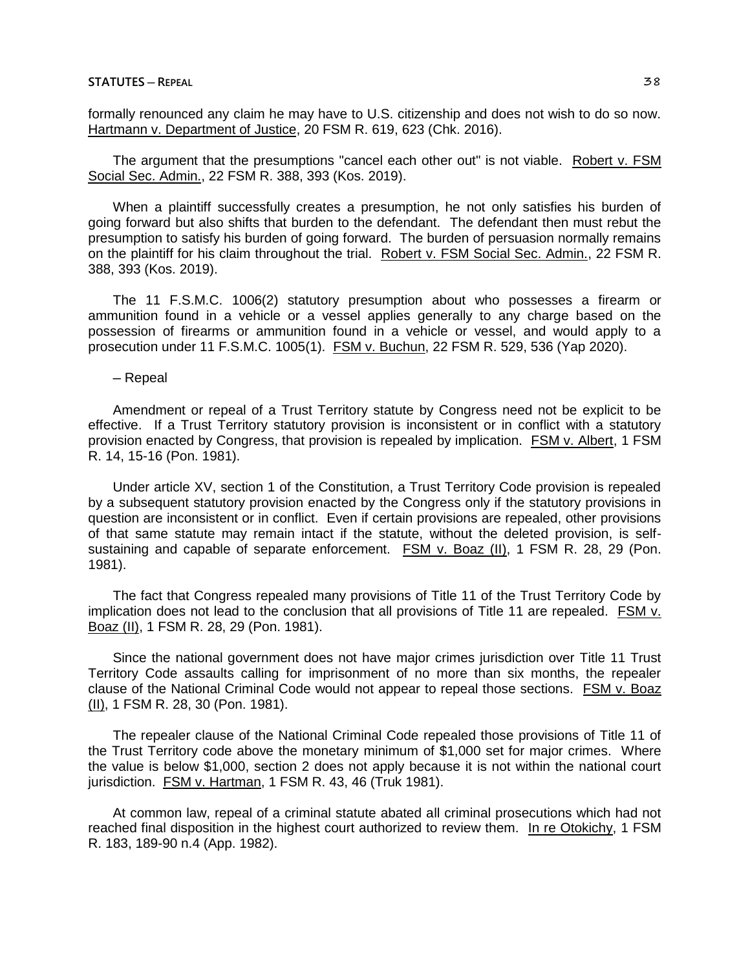### **STATUTES ─ REPEAL** 38

formally renounced any claim he may have to U.S. citizenship and does not wish to do so now. Hartmann v. Department of Justice, 20 FSM R. 619, 623 (Chk. 2016).

The argument that the presumptions "cancel each other out" is not viable. Robert v. FSM Social Sec. Admin., 22 FSM R. 388, 393 (Kos. 2019).

When a plaintiff successfully creates a presumption, he not only satisfies his burden of going forward but also shifts that burden to the defendant. The defendant then must rebut the presumption to satisfy his burden of going forward. The burden of persuasion normally remains on the plaintiff for his claim throughout the trial. Robert v. FSM Social Sec. Admin., 22 FSM R. 388, 393 (Kos. 2019).

The 11 F.S.M.C. 1006(2) statutory presumption about who possesses a firearm or ammunition found in a vehicle or a vessel applies generally to any charge based on the possession of firearms or ammunition found in a vehicle or vessel, and would apply to a prosecution under 11 F.S.M.C. 1005(1). FSM v. Buchun, 22 FSM R. 529, 536 (Yap 2020).

─ Repeal

Amendment or repeal of a Trust Territory statute by Congress need not be explicit to be effective. If a Trust Territory statutory provision is inconsistent or in conflict with a statutory provision enacted by Congress, that provision is repealed by implication. FSM v. Albert, 1 FSM R. 14, 15-16 (Pon. 1981).

Under article XV, section 1 of the Constitution, a Trust Territory Code provision is repealed by a subsequent statutory provision enacted by the Congress only if the statutory provisions in question are inconsistent or in conflict. Even if certain provisions are repealed, other provisions of that same statute may remain intact if the statute, without the deleted provision, is selfsustaining and capable of separate enforcement. FSM v. Boaz (II), 1 FSM R. 28, 29 (Pon. 1981).

The fact that Congress repealed many provisions of Title 11 of the Trust Territory Code by implication does not lead to the conclusion that all provisions of Title 11 are repealed. FSM v. Boaz (II), 1 FSM R. 28, 29 (Pon. 1981).

Since the national government does not have major crimes jurisdiction over Title 11 Trust Territory Code assaults calling for imprisonment of no more than six months, the repealer clause of the National Criminal Code would not appear to repeal those sections. FSM v. Boaz (II), 1 FSM R. 28, 30 (Pon. 1981).

The repealer clause of the National Criminal Code repealed those provisions of Title 11 of the Trust Territory code above the monetary minimum of \$1,000 set for major crimes. Where the value is below \$1,000, section 2 does not apply because it is not within the national court jurisdiction. FSM v. Hartman, 1 FSM R. 43, 46 (Truk 1981).

At common law, repeal of a criminal statute abated all criminal prosecutions which had not reached final disposition in the highest court authorized to review them. In re Otokichy, 1 FSM R. 183, 189-90 n.4 (App. 1982).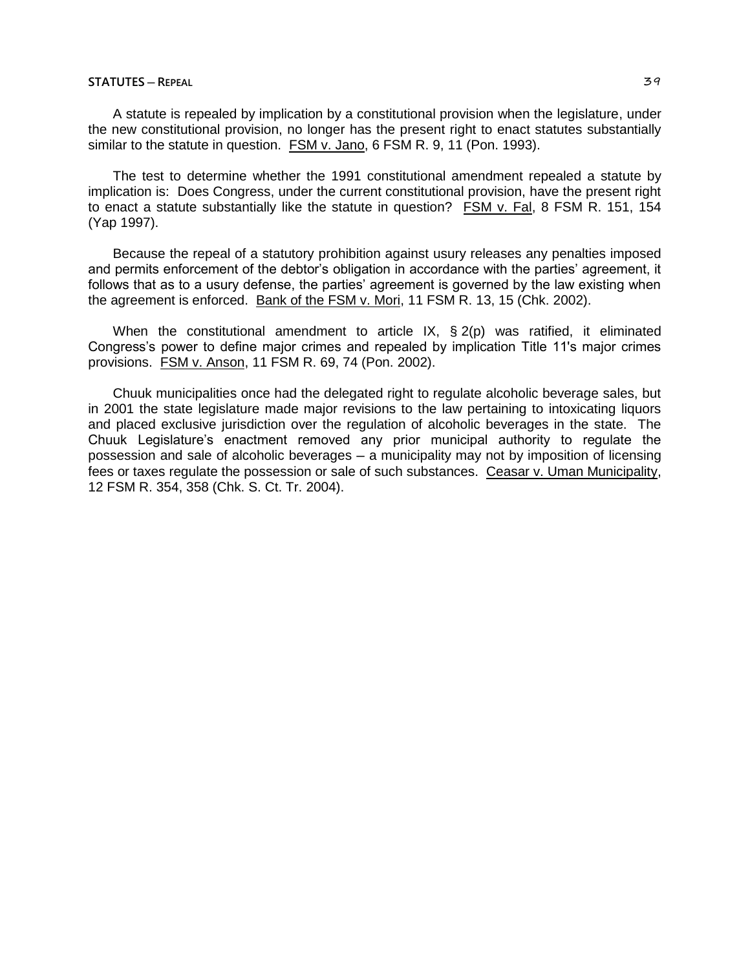### **STATUTES ─ REPEAL** 39

A statute is repealed by implication by a constitutional provision when the legislature, under the new constitutional provision, no longer has the present right to enact statutes substantially similar to the statute in question. FSM v. Jano, 6 FSM R. 9, 11 (Pon. 1993).

The test to determine whether the 1991 constitutional amendment repealed a statute by implication is: Does Congress, under the current constitutional provision, have the present right to enact a statute substantially like the statute in question? FSM v. Fal, 8 FSM R. 151, 154 (Yap 1997).

Because the repeal of a statutory prohibition against usury releases any penalties imposed and permits enforcement of the debtor's obligation in accordance with the parties' agreement, it follows that as to a usury defense, the parties' agreement is governed by the law existing when the agreement is enforced. Bank of the FSM v. Mori, 11 FSM R. 13, 15 (Chk. 2002).

When the constitutional amendment to article IX, § 2(p) was ratified, it eliminated Congress's power to define major crimes and repealed by implication Title 11's major crimes provisions. FSM v. Anson, 11 FSM R. 69, 74 (Pon. 2002).

Chuuk municipalities once had the delegated right to regulate alcoholic beverage sales, but in 2001 the state legislature made major revisions to the law pertaining to intoxicating liquors and placed exclusive jurisdiction over the regulation of alcoholic beverages in the state. The Chuuk Legislature's enactment removed any prior municipal authority to regulate the possession and sale of alcoholic beverages ─ a municipality may not by imposition of licensing fees or taxes regulate the possession or sale of such substances. Ceasar v. Uman Municipality, 12 FSM R. 354, 358 (Chk. S. Ct. Tr. 2004).